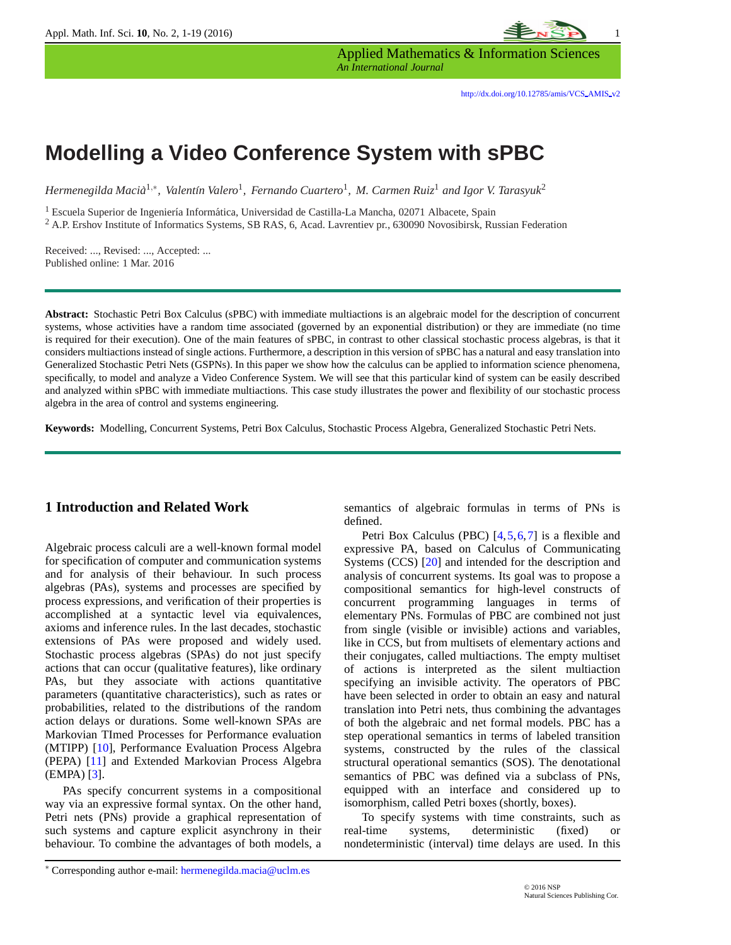

Applied Mathematics & Information Sciences *An International Journal*

# **Modelling a Video Conference System with sPBC**

*Hermenegilda Macia`* 1,∗ *, Valent´ın Valero*<sup>1</sup> *, Fernando Cuartero*<sup>1</sup> *, M. Carmen Ruiz*<sup>1</sup> *and Igor V. Tarasyuk*<sup>2</sup>

<sup>1</sup> Escuela Superior de Ingeniería Informática, Universidad de Castilla-La Mancha, 02071 Albacete, Spain

<sup>2</sup> A.P. Ershov Institute of Informatics Systems, SB RAS, 6, Acad. Lavrentiev pr., 630090 Novosibirsk, Russian Federation

Received: ..., Revised: ..., Accepted: ... Published online: 1 Mar. 2016

**Abstract:** Stochastic Petri Box Calculus (sPBC) with immediate multiactions is an algebraic model for the description of concurrent systems, whose activities have a random time associated (governed by an exponential distribution) or they are immediate (no time is required for their execution). One of the main features of sPBC, in contrast to other classical stochastic process algebras, is that it considers multiactions instead of single actions. Furthermore, a description in this version of sPBC has a natural and easy translation into Generalized Stochastic Petri Nets (GSPNs). In this paper we show how the calculus can be applied to information science phenomena, specifically, to model and analyze a Video Conference System. We will see that this particular kind of system can be easily described and analyzed within sPBC with immediate multiactions. This case study illustrates the power and flexibility of our stochastic process algebra in the area of control and systems engineering.

**Keywords:** Modelling, Concurrent Systems, Petri Box Calculus, Stochastic Process Algebra, Generalized Stochastic Petri Nets.

#### **1 Introduction and Related Work**

Algebraic process calculi are a well-known formal model for specification of computer and communication systems and for analysis of their behaviour. In such process algebras (PAs), systems and processes are specified by process expressions, and verification of their properties is accomplished at a syntactic level via equivalences, axioms and inference rules. In the last decades, stochastic extensions of PAs were proposed and widely used. Stochastic process algebras (SPAs) do not just specify actions that can occur (qualitative features), like ordinary PAs, but they associate with actions quantitative parameters (quantitative characteristics), such as rates or probabilities, related to the distributions of the random action delays or durations. Some well-known SPAs are Markovian TImed Processes for Performance evaluation (MTIPP) [\[10\]](#page-17-0), Performance Evaluation Process Algebra (PEPA) [\[11\]](#page-17-1) and Extended Markovian Process Algebra (EMPA) [\[3\]](#page-16-0).

PAs specify concurrent systems in a compositional way via an expressive formal syntax. On the other hand, Petri nets (PNs) provide a graphical representation of such systems and capture explicit asynchrony in their behaviour. To combine the advantages of both models, a semantics of algebraic formulas in terms of PNs is defined.

Petri Box Calculus (PBC) [\[4,](#page-16-1)[5,](#page-16-2)[6,](#page-16-3)[7\]](#page-16-4) is a flexible and expressive PA, based on Calculus of Communicating Systems (CCS) [\[20\]](#page-17-2) and intended for the description and analysis of concurrent systems. Its goal was to propose a compositional semantics for high-level constructs of concurrent programming languages in terms of elementary PNs. Formulas of PBC are combined not just from single (visible or invisible) actions and variables, like in CCS, but from multisets of elementary actions and their conjugates, called multiactions. The empty multiset of actions is interpreted as the silent multiaction specifying an invisible activity. The operators of PBC have been selected in order to obtain an easy and natural translation into Petri nets, thus combining the advantages of both the algebraic and net formal models. PBC has a step operational semantics in terms of labeled transition systems, constructed by the rules of the classical structural operational semantics (SOS). The denotational semantics of PBC was defined via a subclass of PNs, equipped with an interface and considered up to isomorphism, called Petri boxes (shortly, boxes).

To specify systems with time constraints, such as real-time systems, deterministic (fixed) or nondeterministic (interval) time delays are used. In this

<sup>∗</sup> Corresponding author e-mail: hermenegilda.macia@uclm.es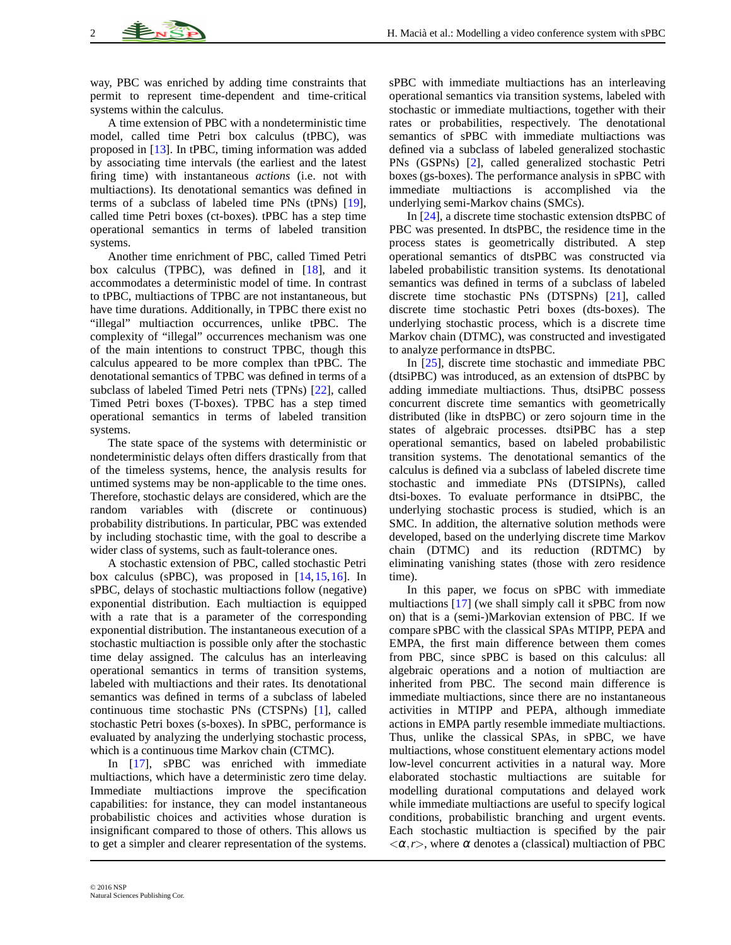way, PBC was enriched by adding time constraints that permit to represent time-dependent and time-critical systems within the calculus.

A time extension of PBC with a nondeterministic time model, called time Petri box calculus (tPBC), was proposed in [\[13\]](#page-17-3). In tPBC, timing information was added by associating time intervals (the earliest and the latest firing time) with instantaneous *actions* (i.e. not with multiactions). Its denotational semantics was defined in terms of a subclass of labeled time PNs (tPNs) [\[19\]](#page-17-4), called time Petri boxes (ct-boxes). tPBC has a step time operational semantics in terms of labeled transition systems.

Another time enrichment of PBC, called Timed Petri box calculus (TPBC), was defined in [\[18\]](#page-17-5), and it accommodates a deterministic model of time. In contrast to tPBC, multiactions of TPBC are not instantaneous, but have time durations. Additionally, in TPBC there exist no "illegal" multiaction occurrences, unlike tPBC. The complexity of "illegal" occurrences mechanism was one of the main intentions to construct TPBC, though this calculus appeared to be more complex than tPBC. The denotational semantics of TPBC was defined in terms of a subclass of labeled Timed Petri nets (TPNs) [\[22\]](#page-17-6), called Timed Petri boxes (T-boxes). TPBC has a step timed operational semantics in terms of labeled transition systems.

The state space of the systems with deterministic or nondeterministic delays often differs drastically from that of the timeless systems, hence, the analysis results for untimed systems may be non-applicable to the time ones. Therefore, stochastic delays are considered, which are the random variables with (discrete or continuous) probability distributions. In particular, PBC was extended by including stochastic time, with the goal to describe a wider class of systems, such as fault-tolerance ones.

A stochastic extension of PBC, called stochastic Petri box calculus (sPBC), was proposed in [\[14,](#page-17-7)[15,](#page-17-8)[16\]](#page-17-9). In sPBC, delays of stochastic multiactions follow (negative) exponential distribution. Each multiaction is equipped with a rate that is a parameter of the corresponding exponential distribution. The instantaneous execution of a stochastic multiaction is possible only after the stochastic time delay assigned. The calculus has an interleaving operational semantics in terms of transition systems, labeled with multiactions and their rates. Its denotational semantics was defined in terms of a subclass of labeled continuous time stochastic PNs (CTSPNs) [\[1\]](#page-16-5), called stochastic Petri boxes (s-boxes). In sPBC, performance is evaluated by analyzing the underlying stochastic process, which is a continuous time Markov chain (CTMC).

In [\[17\]](#page-17-10), sPBC was enriched with immediate multiactions, which have a deterministic zero time delay. Immediate multiactions improve the specification capabilities: for instance, they can model instantaneous probabilistic choices and activities whose duration is insignificant compared to those of others. This allows us to get a simpler and clearer representation of the systems.

sPBC with immediate multiactions has an interleaving operational semantics via transition systems, labeled with stochastic or immediate multiactions, together with their rates or probabilities, respectively. The denotational semantics of sPBC with immediate multiactions was defined via a subclass of labeled generalized stochastic PNs (GSPNs) [\[2\]](#page-16-6), called generalized stochastic Petri boxes (gs-boxes). The performance analysis in sPBC with immediate multiactions is accomplished via the underlying semi-Markov chains (SMCs).

In [\[24\]](#page-17-11), a discrete time stochastic extension dtsPBC of PBC was presented. In dtsPBC, the residence time in the process states is geometrically distributed. A step operational semantics of dtsPBC was constructed via labeled probabilistic transition systems. Its denotational semantics was defined in terms of a subclass of labeled discrete time stochastic PNs (DTSPNs) [\[21\]](#page-17-12), called discrete time stochastic Petri boxes (dts-boxes). The underlying stochastic process, which is a discrete time Markov chain (DTMC), was constructed and investigated to analyze performance in dtsPBC.

In [\[25\]](#page-17-13), discrete time stochastic and immediate PBC (dtsiPBC) was introduced, as an extension of dtsPBC by adding immediate multiactions. Thus, dtsiPBC possess concurrent discrete time semantics with geometrically distributed (like in dtsPBC) or zero sojourn time in the states of algebraic processes. dtsiPBC has a step operational semantics, based on labeled probabilistic transition systems. The denotational semantics of the calculus is defined via a subclass of labeled discrete time stochastic and immediate PNs (DTSIPNs), called dtsi-boxes. To evaluate performance in dtsiPBC, the underlying stochastic process is studied, which is an SMC. In addition, the alternative solution methods were developed, based on the underlying discrete time Markov chain (DTMC) and its reduction (RDTMC) by eliminating vanishing states (those with zero residence time).

In this paper, we focus on sPBC with immediate multiactions [\[17\]](#page-17-10) (we shall simply call it sPBC from now on) that is a (semi-)Markovian extension of PBC. If we compare sPBC with the classical SPAs MTIPP, PEPA and EMPA, the first main difference between them comes from PBC, since sPBC is based on this calculus: all algebraic operations and a notion of multiaction are inherited from PBC. The second main difference is immediate multiactions, since there are no instantaneous activities in MTIPP and PEPA, although immediate actions in EMPA partly resemble immediate multiactions. Thus, unlike the classical SPAs, in sPBC, we have multiactions, whose constituent elementary actions model low-level concurrent activities in a natural way. More elaborated stochastic multiactions are suitable for modelling durational computations and delayed work while immediate multiactions are useful to specify logical conditions, probabilistic branching and urgent events. Each stochastic multiaction is specified by the pair  $\langle \alpha, r \rangle$ , where  $\alpha$  denotes a (classical) multiaction of PBC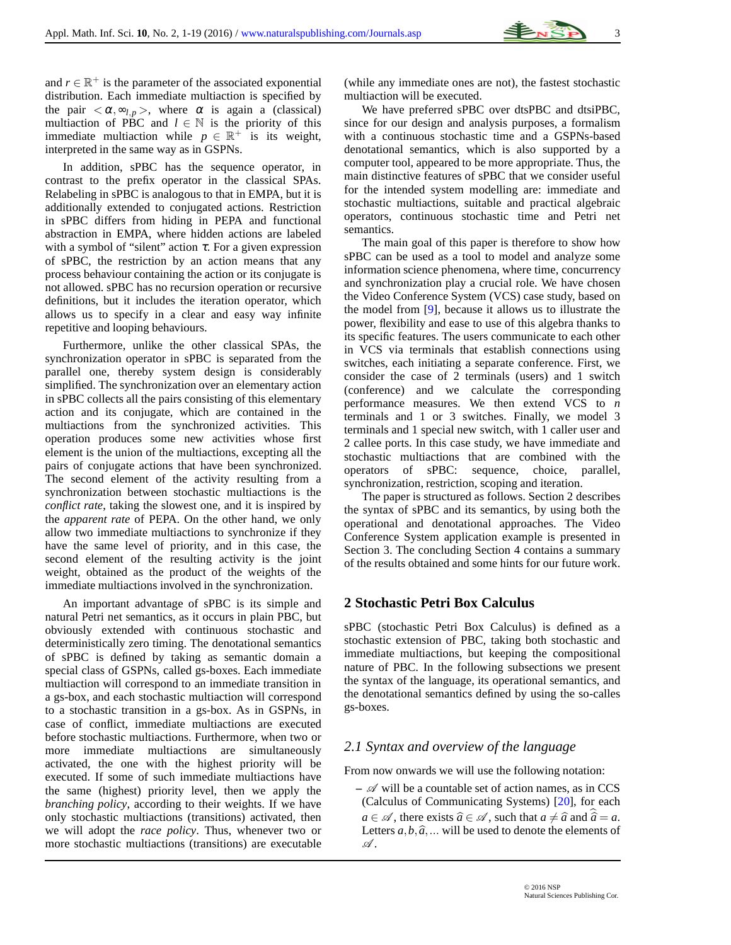

and  $r \in \mathbb{R}^+$  is the parameter of the associated exponential distribution. Each immediate multiaction is specified by the pair  $\langle \alpha, \infty_{l,p} \rangle$ , where  $\alpha$  is again a (classical) multiaction of PBC and  $l \in \mathbb{N}$  is the priority of this immediate multiaction while  $p \in \mathbb{R}^+$  is its weight, interpreted in the same way as in GSPNs.

In addition, sPBC has the sequence operator, in contrast to the prefix operator in the classical SPAs. Relabeling in sPBC is analogous to that in EMPA, but it is additionally extended to conjugated actions. Restriction in sPBC differs from hiding in PEPA and functional abstraction in EMPA, where hidden actions are labeled with a symbol of "silent" action  $\tau$ . For a given expression of sPBC, the restriction by an action means that any process behaviour containing the action or its conjugate is not allowed. sPBC has no recursion operation or recursive definitions, but it includes the iteration operator, which allows us to specify in a clear and easy way infinite repetitive and looping behaviours.

Furthermore, unlike the other classical SPAs, the synchronization operator in sPBC is separated from the parallel one, thereby system design is considerably simplified. The synchronization over an elementary action in sPBC collects all the pairs consisting of this elementary action and its conjugate, which are contained in the multiactions from the synchronized activities. This operation produces some new activities whose first element is the union of the multiactions, excepting all the pairs of conjugate actions that have been synchronized. The second element of the activity resulting from a synchronization between stochastic multiactions is the *conflict rate*, taking the slowest one, and it is inspired by the *apparent rate* of PEPA. On the other hand, we only allow two immediate multiactions to synchronize if they have the same level of priority, and in this case, the second element of the resulting activity is the joint weight, obtained as the product of the weights of the immediate multiactions involved in the synchronization.

An important advantage of sPBC is its simple and natural Petri net semantics, as it occurs in plain PBC, but obviously extended with continuous stochastic and deterministically zero timing. The denotational semantics of sPBC is defined by taking as semantic domain a special class of GSPNs, called gs-boxes. Each immediate multiaction will correspond to an immediate transition in a gs-box, and each stochastic multiaction will correspond to a stochastic transition in a gs-box. As in GSPNs, in case of conflict, immediate multiactions are executed before stochastic multiactions. Furthermore, when two or more immediate multiactions are simultaneously activated, the one with the highest priority will be executed. If some of such immediate multiactions have the same (highest) priority level, then we apply the *branching policy*, according to their weights. If we have only stochastic multiactions (transitions) activated, then we will adopt the *race policy*. Thus, whenever two or more stochastic multiactions (transitions) are executable

(while any immediate ones are not), the fastest stochastic multiaction will be executed.

We have preferred sPBC over dtsPBC and dtsiPBC, since for our design and analysis purposes, a formalism with a continuous stochastic time and a GSPNs-based denotational semantics, which is also supported by a computer tool, appeared to be more appropriate. Thus, the main distinctive features of sPBC that we consider useful for the intended system modelling are: immediate and stochastic multiactions, suitable and practical algebraic operators, continuous stochastic time and Petri net semantics.

The main goal of this paper is therefore to show how sPBC can be used as a tool to model and analyze some information science phenomena, where time, concurrency and synchronization play a crucial role. We have chosen the Video Conference System (VCS) case study, based on the model from [\[9\]](#page-16-7), because it allows us to illustrate the power, flexibility and ease to use of this algebra thanks to its specific features. The users communicate to each other in VCS via terminals that establish connections using switches, each initiating a separate conference. First, we consider the case of 2 terminals (users) and 1 switch (conference) and we calculate the corresponding performance measures. We then extend VCS to *n* terminals and 1 or 3 switches. Finally, we model 3 terminals and 1 special new switch, with 1 caller user and 2 callee ports. In this case study, we have immediate and stochastic multiactions that are combined with the operators of sPBC: sequence, choice, parallel, synchronization, restriction, scoping and iteration.

The paper is structured as follows. Section 2 describes the syntax of sPBC and its semantics, by using both the operational and denotational approaches. The Video Conference System application example is presented in Section 3. The concluding Section 4 contains a summary of the results obtained and some hints for our future work.

## **2 Stochastic Petri Box Calculus**

sPBC (stochastic Petri Box Calculus) is defined as a stochastic extension of PBC, taking both stochastic and immediate multiactions, but keeping the compositional nature of PBC. In the following subsections we present the syntax of the language, its operational semantics, and the denotational semantics defined by using the so-calles gs-boxes.

## *2.1 Syntax and overview of the language*

From now onwards we will use the following notation:

 $\mathcal{A}$  will be a countable set of action names, as in CCS (Calculus of Communicating Systems) [\[20\]](#page-17-2), for each *a* ∈  $\mathscr A$ , there exists  $\hat a$  ∈  $\mathscr A$ , such that  $a \neq \hat a$  and  $\hat a = a$ . Letters  $a, b, \hat{a}, \dots$  will be used to denote the elements of  $\mathscr A$  .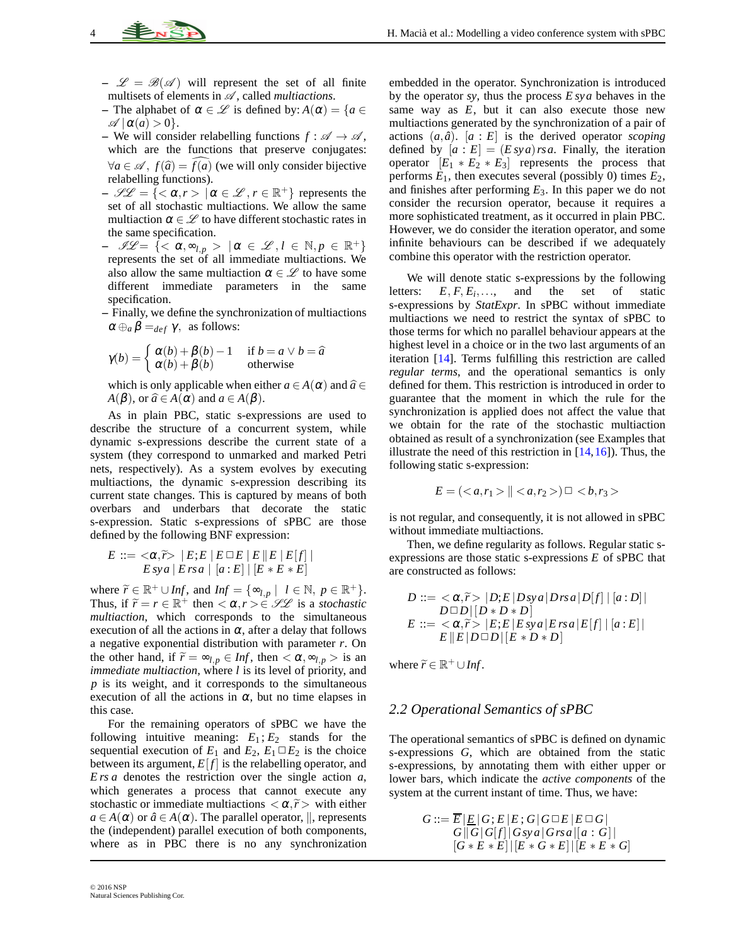- $-\mathscr{L} = \mathscr{B}(\mathscr{A})$  will represent the set of all finite multisets of elements in  $\mathcal{A}$ , called *multiactions*.
- **–** The alphabet of  $\alpha \in \mathcal{L}$  is defined by:  $A(\alpha) = \{a \in \mathcal{L} \mid a \in \mathcal{L}\}$  $\mathscr{A}$   $\alpha(a) > 0$ .
- **–** We will consider relabelling functions  $f : \mathcal{A} \to \mathcal{A}$ , which are the functions that preserve conjugates:  $\forall a \in \mathcal{A}, f(\hat{a}) = f(a)$  (we will only consider bijective relabelling functions).
- $-\mathscr{L} \mathscr{L} = \{ \langle \alpha, r \rangle \mid \alpha \in \mathscr{L}, r \in \mathbb{R}^+ \}$  represents the set of all stochastic multiactions. We allow the same multiaction  $\alpha \in \mathcal{L}$  to have different stochastic rates in the same specification.
- $\mathscr{L} = \{ \langle \alpha, \infty_{l,p} \rangle \mid \alpha \in \mathscr{L}, l \in \mathbb{N}, p \in \mathbb{R}^+ \}$ represents the set of all immediate multiactions. We also allow the same multiaction  $\alpha \in \mathcal{L}$  to have some different immediate parameters in the same specification.
- **–** Finally, we define the synchronization of multiactions  $\alpha \oplus_{a} \beta =_{def} \gamma$ , as follows:

$$
\gamma(b) = \begin{cases} \alpha(b) + \beta(b) - 1 & \text{if } b = a \lor b = \widehat{a} \\ \alpha(b) + \beta(b) & \text{otherwise} \end{cases}
$$

which is only applicable when either  $a \in A(\alpha)$  and  $\hat{a} \in \alpha$  $A(\beta)$ , or  $\widehat{a} \in A(\alpha)$  and  $a \in A(\beta)$ .

As in plain PBC, static s-expressions are used to describe the structure of a concurrent system, while dynamic s-expressions describe the current state of a system (they correspond to unmarked and marked Petri nets, respectively). As a system evolves by executing multiactions, the dynamic s-expression describing its current state changes. This is captured by means of both overbars and underbars that decorate the static s-expression. Static s-expressions of sPBC are those defined by the following BNF expression:

$$
E ::= \langle \alpha, \widetilde{r} \rangle \, | \, E; E \, | \, E \, \Box E \, | \, E \, \| E \, | \, E[f] \, | \, E \, s \vee a \, | \, E \, s \vee a \, | \, [a : E] \, | \, [E * E * E]
$$

where  $\widetilde{r} \in \mathbb{R}^+ \cup Inf$ , and  $Inf = {\infty_{l,p} \mid l \in \mathbb{N}, p \in \mathbb{R}^+}.$ <br>Thus if  $\widetilde{r} = n \in \mathbb{R}^+$  then  $\leq \alpha_{l,p} \geq \alpha_{l,p} \leq \alpha_{l,p}$  is a standard in Thus, if  $\widetilde{r} = r \in \mathbb{R}^+$  then  $\langle \alpha, r \rangle \in \mathcal{LL}$  is a *stochastic* multiple constant *multiaction*, which corresponds to the simultaneous execution of all the actions in  $\alpha$ , after a delay that follows a negative exponential distribution with parameter *r*. On the other hand, if  $\widetilde{r} = \infty_{l,p} \in Inf$ , then  $\langle \alpha, \infty_{l,p} \rangle$  is an *immediate multiaction*, where *l* is its level of priority, and *p* is its weight, and it corresponds to the simultaneous execution of all the actions in  $\alpha$ , but no time elapses in this case.

For the remaining operators of sPBC we have the following intuitive meaning:  $E_1$ ;  $E_2$  stands for the sequential execution of  $E_1$  and  $E_2$ ,  $E_1 \square E_2$  is the choice between its argument,  $E[f]$  is the relabelling operator, and *E rs a* denotes the restriction over the single action *a*, which generates a process that cannot execute any stochastic or immediate multiactions  $\langle \alpha, \tilde{r} \rangle$  with either  $a \in A(\alpha)$  or  $\hat{a} \in A(\alpha)$ . The parallel operator,  $\parallel$ , represents the (independent) parallel execution of both components, where as in PBC there is no any synchronization

© 2016 NSP Natural Sciences Publishing Cor. embedded in the operator. Synchronization is introduced by the operator *sy*, thus the process *E sya* behaves in the same way as  $E$ , but it can also execute those new multiactions generated by the synchronization of a pair of actions  $(a, \hat{a})$ .  $[a : E]$  is the derived operator *scoping* defined by  $[a : E] = (E \, sy \, a) \, rs \, a$ . Finally, the iteration operator  $[E_1 * E_2 * E_3]$  represents the process that performs  $E_1$ , then executes several (possibly 0) times  $E_2$ , and finishes after performing  $E_3$ . In this paper we do not consider the recursion operator, because it requires a more sophisticated treatment, as it occurred in plain PBC. However, we do consider the iteration operator, and some infinite behaviours can be described if we adequately combine this operator with the restriction operator.

We will denote static s-expressions by the following letters:  $E, F, E_i, \ldots$ , and the set of static s-expressions by *StatExpr*. In sPBC without immediate multiactions we need to restrict the syntax of sPBC to those terms for which no parallel behaviour appears at the highest level in a choice or in the two last arguments of an iteration [\[14\]](#page-17-7). Terms fulfilling this restriction are called *regular terms*, and the operational semantics is only defined for them. This restriction is introduced in order to guarantee that the moment in which the rule for the synchronization is applied does not affect the value that we obtain for the rate of the stochastic multiaction obtained as result of a synchronization (see Examples that illustrate the need of this restriction in  $[14, 16]$  $[14, 16]$ ). Thus, the following static s-expression:

$$
E = (a, r_1 > ||  ) \square
$$

is not regular, and consequently, it is not allowed in sPBC without immediate multiactions.

Then, we define regularity as follows. Regular static sexpressions are those static s-expressions *E* of sPBC that are constructed as follows:

$$
D ::= \langle \alpha, \widetilde{r} \rangle |D; E |Dsya|Drsa|D[f] | [a : D] |
$$
  
\n
$$
D \Box D | [D * D * D]
$$
  
\n
$$
E ::= \langle \alpha, \widetilde{r} \rangle |E; E | E sya | E rsa | E[f] | [a : E] |
$$
  
\n
$$
E || E | D \Box D | [E * D * D]
$$

where  $\widetilde{r} \in \mathbb{R}^+ \cup Inf$ .

### *2.2 Operational Semantics of sPBC*

The operational semantics of sPBC is defined on dynamic s-expressions *G*, which are obtained from the static s-expressions, by annotating them with either upper or lower bars, which indicate the *active components* of the system at the current instant of time. Thus, we have:

$$
G ::= \overline{E} | \underline{E} | G; E | E; G | G \square E | E \square G |
$$
  
\n
$$
G || G | G[f] | Gsy a | Grs a | [a : G] |
$$
  
\n
$$
[G * E * E] | [E * G * E] | [E * E * G]
$$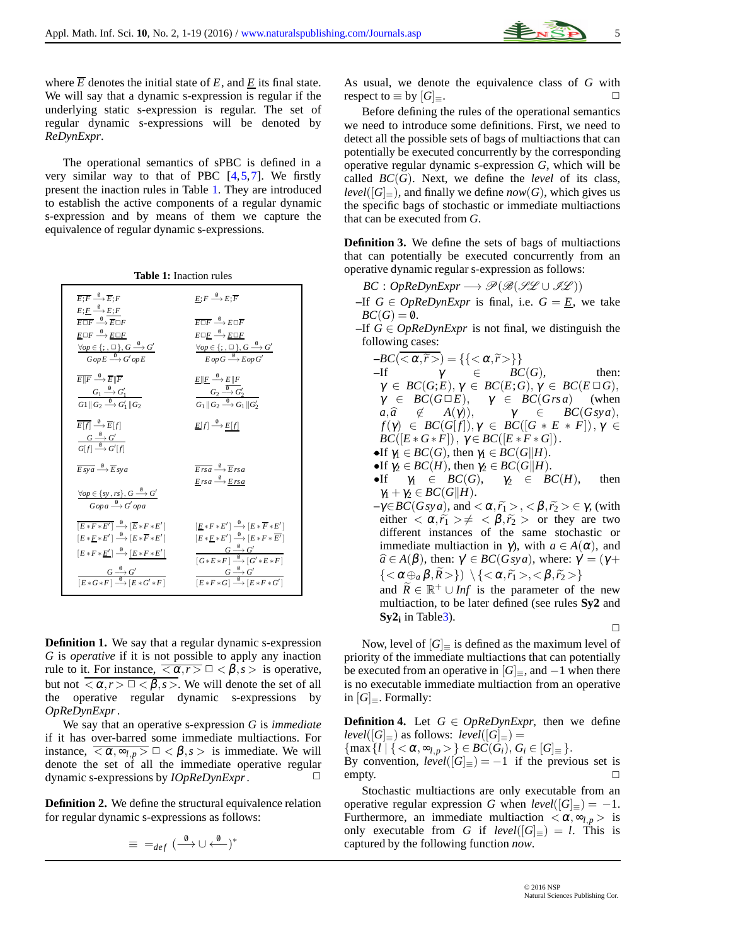where  $\overline{E}$  denotes the initial state of  $E$ , and  $\underline{E}$  its final state. We will say that a dynamic s-expression is regular if the underlying static s-expression is regular. The set of regular dynamic s-expressions will be denoted by *ReDynExpr*.

The operational semantics of sPBC is defined in a very similar way to that of PBC  $[4,5,7]$  $[4,5,7]$  $[4,5,7]$ . We firstly present the inaction rules in Table [1.](#page-4-0) They are introduced to establish the active components of a regular dynamic s-expression and by means of them we capture the equivalence of regular dynamic s-expressions.

<span id="page-4-0"></span>

| $\overline{E: F} \stackrel{\emptyset}{\longrightarrow} \overline{E}: F$<br>$E; \underline{F} \stackrel{\emptyset}{\longrightarrow} E; F$ | $E: F \xrightarrow{0} E: \overline{F}$                                                                                                                                                                                                                                                   |
|------------------------------------------------------------------------------------------------------------------------------------------|------------------------------------------------------------------------------------------------------------------------------------------------------------------------------------------------------------------------------------------------------------------------------------------|
| $\overline{F\Box F}\stackrel{\emptyset}{\longrightarrow} \overline{F}\Box F$                                                             | $\overline{F\Box F} \stackrel{\emptyset}{\longrightarrow} F\Box \overline{F}$                                                                                                                                                                                                            |
| $E \Box F \stackrel{\emptyset}{\longrightarrow} E \Box F$                                                                                | $E \Box F \stackrel{0}{\longrightarrow} E \Box F$                                                                                                                                                                                                                                        |
| $\frac{\forall op \in \{;,\square\}, G \stackrel{\Psi}{\longrightarrow} G'}{Gop E \stackrel{\emptyset}{\longrightarrow} G'op E}$         | $\frac{\forall op \in \{;,\square\}, G \stackrel{\emptyset}{\longrightarrow} G'}{E op G \stackrel{\emptyset}{\longrightarrow} E op G'}$                                                                                                                                                  |
| $E  F \stackrel{\emptyset}{\longrightarrow} \overline{E}  \overline{F}$                                                                  | $\frac{\underline{E} \ \underline{F} \stackrel{\emptyset}{\longrightarrow} \underline{E} \ F}{G_2 \stackrel{\emptyset}{\longrightarrow} G_2'}\ \frac{G_2 \stackrel{\emptyset}{\longrightarrow} G_2'}{G_1 \ \underline{G}_2 \stackrel{\emptyset}{\longrightarrow} G_1\ \underline{G}_2'}$ |
| $\frac{G_1 \stackrel{\emptyset}{\longrightarrow} G_1'}{G_1 \parallel G_2 \stackrel{\emptyset}{\longrightarrow} G_1' \parallel G_2}$      |                                                                                                                                                                                                                                                                                          |
| $\overline{E[f]} \stackrel{\emptyset}{\longrightarrow} \overline{E}[f]$                                                                  | $\underline{E}[f] \stackrel{\emptyset}{\longrightarrow} E[f]$                                                                                                                                                                                                                            |
| $\frac{G \stackrel{\emptyset}{\longrightarrow} G'}{G[f] \stackrel{\emptyset}{\longrightarrow} G'[f]}$                                    |                                                                                                                                                                                                                                                                                          |
| $\overline{E s v a} \stackrel{\emptyset}{\longrightarrow} \overline{E} s v a$                                                            | $\overline{Ersa} \stackrel{\emptyset}{\longrightarrow} \overline{E}rsa$                                                                                                                                                                                                                  |
| $\frac{\forall op \in \{sy, rs\}, G \stackrel{\theta}{\longrightarrow} G'}{Gopa \stackrel{\theta}{\longrightarrow} G'opa}$               | $E$ rsa $\stackrel{\emptyset}{\longrightarrow} E$ rsa                                                                                                                                                                                                                                    |
| $E * F * E'$ $\longrightarrow$ $E * F * E'$                                                                                              | $[E * F * E'] \longrightarrow [E * F * E']$                                                                                                                                                                                                                                              |
| $[E * F * E'] \stackrel{\emptyset}{\longrightarrow} [E * \overline{F} * E']$                                                             | $\label{eq:2.1} [E*E*E'] \stackrel{\emptyset}{\longrightarrow} [E*F*\overline{E'}]$                                                                                                                                                                                                      |
| $[E * F * \underline{E'}] \stackrel{\emptyset}{\longrightarrow} [E * F * E']$                                                            | $\frac{G \stackrel{\emptyset}{\longrightarrow} G'}{\lceil G * E * F \rceil \stackrel{\emptyset}{\longrightarrow} \lceil G' * E * F \rceil}$                                                                                                                                              |
| $\frac{G \stackrel{\emptyset}{\longrightarrow} G'}{[E*G*F] \stackrel{\emptyset}{\longrightarrow} [E*G'*F]}$                              | $\frac{G \stackrel{\emptyset}{\longrightarrow} G'}{[E * F * G] \stackrel{\emptyset}{\longrightarrow} [E * F * G']}$                                                                                                                                                                      |
|                                                                                                                                          |                                                                                                                                                                                                                                                                                          |

**Table 1:** Inaction rules

**Definition 1.** We say that a regular dynamic s-expression *G* is *operative* if it is not possible to apply any inaction rule to it. For instance,  $\overline{\langle \alpha, r \rangle} \square \langle \beta, s \rangle$  is operative, but not  $\overline{\langle \alpha, r \rangle} \square \langle \beta, s \rangle$ . We will denote the set of all the operative regular dynamic s-expressions by *OpReDynExpr*.

We say that an operative s-expression *G* is *immediate* if it has over-barred some immediate multiactions. For instance,  $\overline{\langle \alpha, \infty_{l,p} \rangle} \square \langle \beta, s \rangle$  is immediate. We will denote the set of all the immediate operative regular dynamic s-expressions by *IOpReDynExpr*. □

**Definition 2.** We define the structural equivalence relation for regular dynamic s-expressions as follows:

$$
\equiv \; =_{def} (\stackrel{\emptyset}{\longrightarrow} \cup \stackrel{\emptyset}{\longleftarrow})^*
$$

As usual, we denote the equivalence class of *G* with respect to  $\equiv$  by  $|G|_{\equiv}$ .  $\Box$ 

Before defining the rules of the operational semantics we need to introduce some definitions. First, we need to detect all the possible sets of bags of multiactions that can potentially be executed concurrently by the corresponding operative regular dynamic s-expression *G*, which will be called  $BC(G)$ . Next, we define the *level* of its class, *level*( $[G]$ =), and finally we define *now*( $G$ ), which gives us the specific bags of stochastic or immediate multiactions that can be executed from *G*.

**Definition 3.** We define the sets of bags of multiactions that can potentially be executed concurrently from an operative dynamic regular s-expression as follows:

- $BC: OpReDynExpr \longrightarrow \mathscr{P}(\mathscr{B}(\mathscr{HL}\cup \mathscr{FL}))$
- $-If$  *G* ∈ *OpReDynExpr* is final, i.e. *G* = <u>*E*</u>, we take  $BC(G) = \emptyset$ .
- **–**If *G* ∈ *OpReDynExpr* is not final, we distinguish the following cases:

$$
-BC(\overline{<\alpha,\widetilde{r}>}) = \{\{<\alpha,\widetilde{r}> \}\}\
$$
  
\n
$$
-If \quad \gamma \in BC(G), \quad \text{then:}
$$
  
\n
$$
\gamma \in BC(G;E), \gamma \in BC(E;G), \gamma \in BC(E \Box G),
$$
  
\n
$$
\gamma \in BC(G \Box E), \quad \gamma \in BC(Grsa) \quad \text{(when}
$$
  
\n
$$
a, \widehat{a} \notin A(\gamma)), \quad \gamma \in BC(Gsga),
$$
  
\n
$$
f(\gamma) \in BC(G[f]), \gamma \in BC([G * E * F]), \gamma \in BC([E * G * F]), \gamma \in BC([E * F * G]).
$$
  
\n
$$
-If \gamma_1 \in BC(G), \text{ then } \gamma_1 \in BC(G||H).
$$
  
\n
$$
-If \gamma_2 \in BC(H), \text{ then } \gamma_2 \in BC(G||H).
$$

 $\bullet$ If  $\gamma_1 \in BC(G), \quad \gamma_2 \in BC(H), \quad \text{then}$  $\gamma_1 + \gamma_2 \in BC(G||H).$ 

 $-\gamma \in BC(Gsya)$ , and  $\langle \alpha, \widetilde{r_1} \rangle, \langle \beta, \widetilde{r_2} \rangle \in \gamma$ , (with either  $\langle \alpha, \tilde{r}_1 \rangle \neq \langle \beta, \tilde{r}_2 \rangle$  or they are two different instances of the same stochastic or immediate multiaction in  $\gamma$ ), with  $a \in A(\alpha)$ , and  $\hat{a} \in A(\beta)$ , then:  $\gamma' \in BC(Gsya)$ , where:  $\gamma' = (\gamma +$  ${<\alpha \oplus_{a} \beta, \overline{R>} \}$   $\setminus {<\alpha, \widetilde{r_1} >, <\beta, \widetilde{r_2}}$ 

and  $\widetilde{R} \in \mathbb{R}^+ \cup Inf$  is the parameter of the new multiaction, to be later defined (see rules **Sy2** and **Sy2<sup>i</sup>** in Tabl[e3\)](#page-8-0).

 $\Box$ 

Now, level of  $[G]$  is defined as the maximum level of priority of the immediate multiactions that can potentially be executed from an operative in  $[G]_$ , and  $-1$  when there is no executable immediate multiaction from an operative in  $[G]_{\equiv}$ . Formally:

**Definition 4.** Let  $G \in OpReDynExpr$ , then we define *level*( $[G]$ ≡) as follows: *level*( $[G]$ ≡) =

{max {*l* | { <  $\alpha$ ,  $\infty_{l,p}$  > }  $\in BC(G_i)$ ,  $G_i \in [G]_{\equiv}$  }. By convention,  $level([G]_{\equiv}) = -1$  if the previous set is  $\Box$ 

Stochastic multiactions are only executable from an operative regular expression *G* when  $level([G]_{\equiv}) = -1$ . Furthermore, an immediate multiaction  $\langle \alpha, \infty \rangle$  is only executable from *G* if  $level([G]_{\equiv}) = l$ . This is captured by the following function *now*.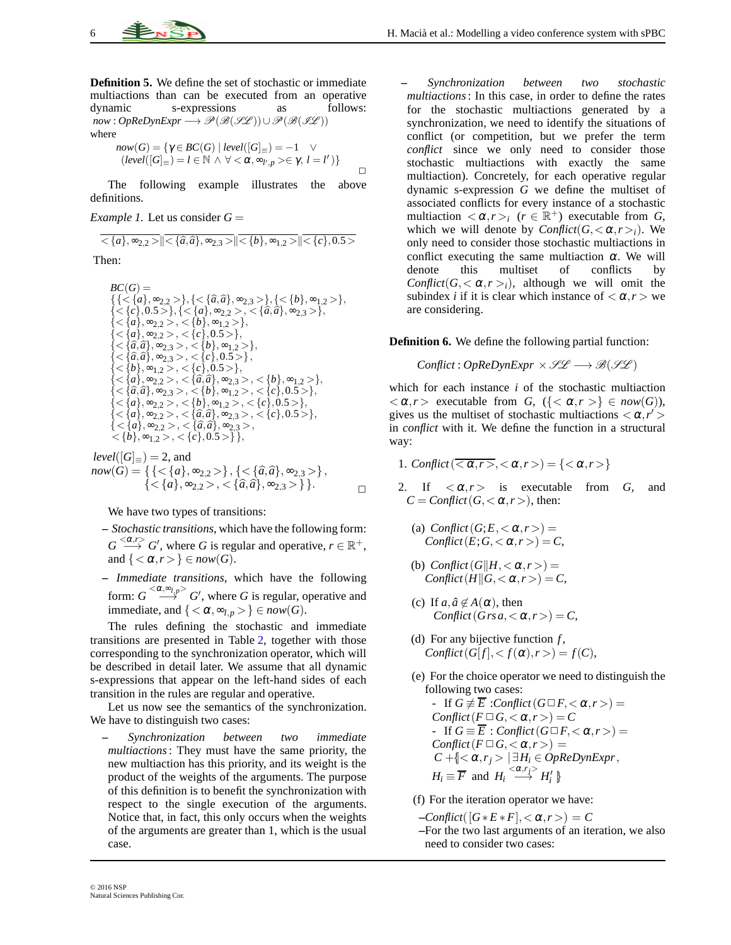**Definition 5.** We define the set of stochastic or immediate multiactions than can be executed from an operative dynamic<br>s-expressions as follows: dynamic s-expressions as  $now: OpReDynExpr \longrightarrow \mathscr{P}(\mathscr{B}(\mathscr{SL})) \cup \mathscr{P}(\mathscr{B}(\mathscr{IL}))$ where

$$
now(G) = \{ \gamma \in BC(G) \mid level([G]_{\equiv}) = -1 \quad \vee
$$
  
\n
$$
(level([G]_{\equiv}) = l \in \mathbb{N} \land \forall < \alpha, \sim_{l',p} > \in \gamma, l = l' ) \}
$$

The following example illustrates the above definitions.

*Example 1.* Let us consider  $G =$ 

$$
\overline{\langle a\rangle, \infty_{2,2}>}\|\overline{\langle \{a,\widehat{a}\},\infty_{2,3}>}\|\overline{\langle \{b\},\infty_{1,2}>}\|\overline{\langle c\},0.5>\rangle\|}
$$

Then:

$$
BC(G) = \{ \{ \}, \{ \}, \{ \}, \{ \}, \{ \}, \{ \}, \{ \}, \{ \}, \{ \}, \{ \}, \{ \}, \{ \}, \{ \}, \{ \}, \{ \}, \{ \}, \{ \}, \{ \}, \{ \}, \{ \}, \{ \}, \{ \}, \{ \}, \{ \}, \{ \}, \{ \}, \{ \}, \{ \}, \{ \}, \{ \}, \{ \}, \{ \}, \{ \}, \{ \}, \{ \}, \{ \}, \{ \}, \{ \}, \{ \}, \{ \}, \{ \}, \{ \}, \{ \}, \{
$$

 $level([G]_{\equiv}) = 2$ , and  $now(G) = \{ \{ \langle \{a\}, \infty_{2,2} \rangle \}, \{ \langle \{\hat{a}, \hat{a}\}, \infty_{2,3} \rangle \}, \}$ { < {*a*}, ∞<sub>2,2</sub> > , < { $\hat{a}$ ,  $\hat{a}$ }, ∞<sub>2,3</sub> > } }.

We have two types of transitions:

- **–** *Stochastic transitions*, which have the following form:  $G \stackrel{<\alpha,r>}{\longrightarrow} G'$ , where *G* is regular and operative,  $r \in \mathbb{R}^+$ , and  $\{<\alpha,r>\}\in now(G)$ .
- **–** *Immediate transitions*, which have the following form:  $G \stackrel{< \alpha, \infty_{l,p}>} \longrightarrow G'$ , where *G* is regular, operative and immediate, and  ${ < \alpha, \infty_{l,p} > } \in now(G)$ .

The rules defining the stochastic and immediate transitions are presented in Table [2,](#page-6-0) together with those corresponding to the synchronization operator, which will be described in detail later. We assume that all dynamic s-expressions that appear on the left-hand sides of each transition in the rules are regular and operative.

Let us now see the semantics of the synchronization. We have to distinguish two cases:

**–** *Synchronization between two immediate multiactions*: They must have the same priority, the new multiaction has this priority, and its weight is the product of the weights of the arguments. The purpose of this definition is to benefit the synchronization with respect to the single execution of the arguments. Notice that, in fact, this only occurs when the weights of the arguments are greater than 1, which is the usual case.

**–** *Synchronization between two stochastic multiactions*: In this case, in order to define the rates for the stochastic multiactions generated by a synchronization, we need to identify the situations of conflict (or competition, but we prefer the term *conflict* since we only need to consider those stochastic multiactions with exactly the same multiaction). Concretely, for each operative regular dynamic s-expression *G* we define the multiset of associated conflicts for every instance of a stochastic multiaction  $\langle \alpha, r \rangle_i$  ( $r \in \mathbb{R}^+$ ) executable from *G*, which we will denote by  $Conflict(G, <\alpha, r>_{i})$ . We only need to consider those stochastic multiactions in conflict executing the same multiaction  $\alpha$ . We will denote this multiset of conflicts by *Conflict*( $G$ ,  $\langle \alpha, r \rangle$ ), although we will omit the subindex *i* if it is clear which instance of  $\langle \alpha, r \rangle$  we are considering.

**Definition 6.** We define the following partial function:

*Conflict* :  $OpReDynExpr \times \mathcal{SL} \longrightarrow \mathcal{B}(\mathcal{SL})$ 

which for each instance *i* of the stochastic multiaction  $<\alpha, r>$  executable from *G*,  $\{\&\alpha, r>\}\in \text{now}(G)$ ), gives us the multiset of stochastic multiactions  $\langle \alpha, r' \rangle$ in *conflict* with it. We define the function in a structural way:

- 1. *Conflict*( $\overline{\langle \alpha, r \rangle}$ ,  $\langle \alpha, r \rangle$ ) = { $\langle \alpha, r \rangle$ }
- 2. If  $\langle \alpha, r \rangle$  is executable from *G*, and  $C = \text{Conflict}(G, \langle \alpha, r \rangle)$ , then:
	- (a)  $Conflict(G; E, < \alpha, r>) =$ *Conflict*( $E$ ;  $G$ ,  $< \alpha$ ,  $r$   $>$ ) =  $C$ ,
	- (b) *Conflict*( $G \mid H, \langle \alpha, r \rangle$ ) = *Conflict*( $H \| G$ ,  $\langle \alpha, r \rangle = C$ ,
	- (c) If  $a, \hat{a} \notin A(\alpha)$ , then *Conflict*( $Grs a, <\alpha, r>$ ) = *C*,
	- (d) For any bijective function *f* ,  $Conflict(G[f], < f(\alpha), r>) = f(C),$
	- (e) For the choice operator we need to distinguish the following two cases:
		- If  $G \not\equiv \overline{E}$  :*Conflict*  $(G \square F, <\alpha, r>)$  =  $Conflict(F \square G, <\alpha, r>) = C$ - If  $G \equiv \overline{E}$ : *Conflict*  $(G \square F, <\alpha, r>)$  =  $Conflict(F \square G, <\alpha, r>) =$  $C + \leq \alpha, r_i > |\exists H_i \in OpReDynExpr,$  $H_i \equiv \overline{F}$  and  $H_i \stackrel{<\alpha,r_j>}{\longrightarrow} H'_i$

(f) For the iteration operator we have:

- $-$ *Conflict*( $[G * E * F], < \alpha, r$ ) = *C*
- **–**For the two last arguments of an iteration, we also need to consider two cases: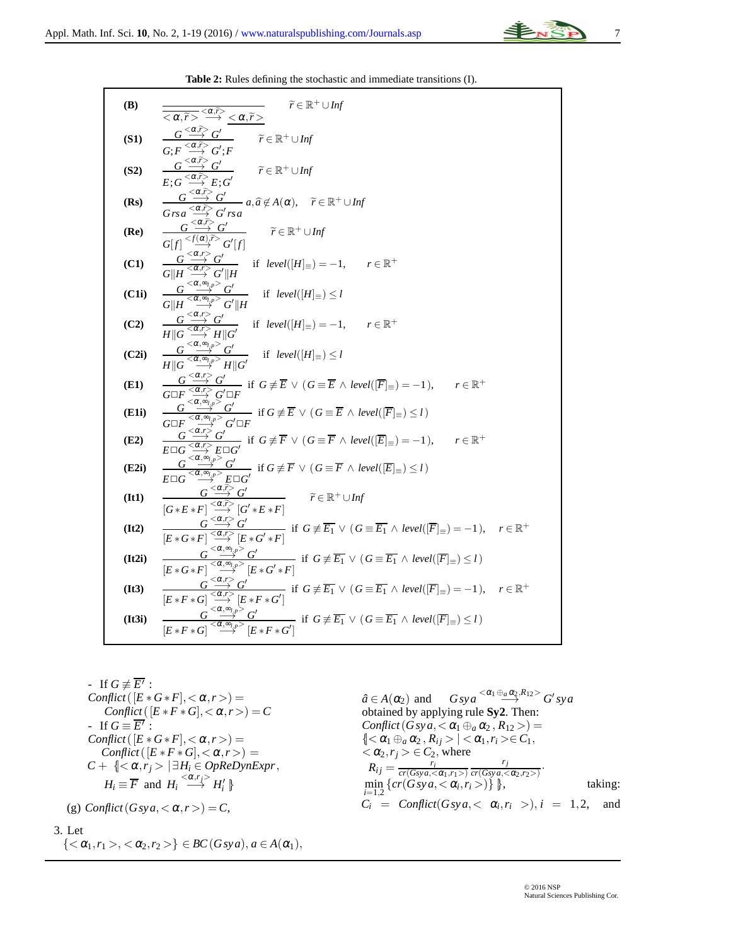

**Table 2:** Rules defining the stochastic and immediate transitions (I).

<span id="page-6-0"></span>(B)  
\n
$$
\frac{\overline{<\alpha,\overline{P}>\leq \alpha,\overline{P}}}{\overline{<\alpha,\overline{P}>\leq \alpha,\overline{P}}}\n\begin{array}{c}\n\overline{<\alpha,\overline{P}} \\
\overline{<\alpha,\overline{P}} \\
\overline{<\alpha,\overline{P}} \\
\overline{<\alpha,\overline{P}} \\
\overline{<\alpha,\overline{P}} \\
\overline{<\alpha,\overline{P}} \\
\overline{<\alpha,\overline{P}} \\
\overline{<\alpha,\overline{P}} \\
\overline{<\alpha,\overline{P}} \\
\overline{<\alpha,\overline{P}} \\
\overline{<\alpha,\overline{P}} \\
\overline{<\alpha,\overline{P}} \\
\overline{<\alpha,\overline{P}} \\
\overline{<\alpha,\overline{P}} \\
\overline{<\alpha,\overline{P}} \\
\overline{<\alpha,\overline{P}} \\
\overline{<\alpha,\overline{P}} \\
\overline{<\alpha,\overline{P}} \\
\overline{<\alpha,\overline{P}} \\
\overline{<\alpha,\overline{P}} \\
\overline{<\alpha,\overline{P}} \\
\overline{<\alpha,\overline{P}} \\
\overline{<\alpha,\overline{P}} \\
\overline{<\alpha,\overline{P}} \\
\overline{<\alpha,\overline{P}} \\
\overline{<\alpha,\overline{P}} \\
\overline{<\alpha,\overline{P}} \\
\overline{<\alpha,\overline{P}} \\
\overline{<\alpha,\overline{P}} \\
\overline{<\alpha,\overline{P}} \\
\overline{<\alpha,\overline{P}} \\
\overline{<\alpha,\overline{P}} \\
\overline{<\alpha,\overline{P}} \\
\overline{<\alpha,\overline{P}} \\
\overline{<\alpha,\overline{P}} \\
\overline{<\alpha,\overline{P}} \\
\overline{<\alpha,\overline{P}} \\
\overline{<\alpha,\overline{P}} \\
\overline{<\alpha,\overline{P}} \\
\overline{<\alpha,\overline{P}} \\
\overline{<\alpha,\overline{P}} \\
\overline{<\alpha,\overline{P}} \\
\overline{<\alpha,\overline{P}} \\
\overline{<\alpha,\overline{P}} \\
\overline{<\alpha,\overline{P}} \\
\overline{<\alpha,\overline{P}} \\
\overline{<\alpha,\overline{P}} \\
\overline{<\alpha,\overline{P}} \\
\overline{<\alpha,\overline{P}} \\
\overline{<\alpha,\
$$

\n- \n If 
$$
G \not\equiv \overline{E'}
$$
:\n  $Conflict([E * G * F], < \alpha, r >) =$ \n  $Conflict([E * F * G], < \alpha, r >) = C$ \n
\n- \n If  $G \equiv \overline{E'}$ :\n  $Conflict([E * G * F], < \alpha, r >) =$ \n  $Conflict([E * F * G], < \alpha, r >) =$ \n $C + \{\langle \alpha, r_j \rangle \mid \exists H_i \in OpRep \setminus n \rangle\}$ \n $H_i \equiv \overline{F} \text{ and } H_i \stackrel{\langle \alpha, r_j \rangle}{\longrightarrow} H_i' \}$ \n
\n- \n (g)  $Conflict(Gsya, < \alpha, r >) = C$ ,\n
\n

 $\hat{a} \in A(\alpha_2)$  and  $G_{sys} \xrightarrow{<\alpha_1 \oplus_a \alpha_2, R_{12}>} G'_{sys}$ obtained by applying rule **Sy2**. Then: *Conflict*( $G$ *sya*,  $\lt \alpha_1 \oplus_a \alpha_2$ ,  $R_{12}$ ) =  $\{ < \alpha_1 \oplus_a \alpha_2, R_{ij} > | < \alpha_1, r_i > \in C_1,$  $<\alpha_2, r_j> \in C_2$ , where  $R_{ij} = \frac{r_i}{cr(Gsva)}$  $cr(Gsya,<\alpha_1,r_1>)$ *rj*  $\frac{r_j}{\text{cr}(Gsva,<\alpha_2,r_2)}$ .  $\min_{i=1,2} \{ cr(Gsya, <\alpha_i, r_i>) \}$ , taking:  $C_i$  = *Conflict*( $G$ *sya*, $\langle \alpha_i, r_i \rangle$ ),  $i = 1, 2$ , and

#### 3. Let

$$
\{<\alpha_1,r_1><<\alpha_2,r_2>\}\in BC(Gsya), a\in A(\alpha_1),
$$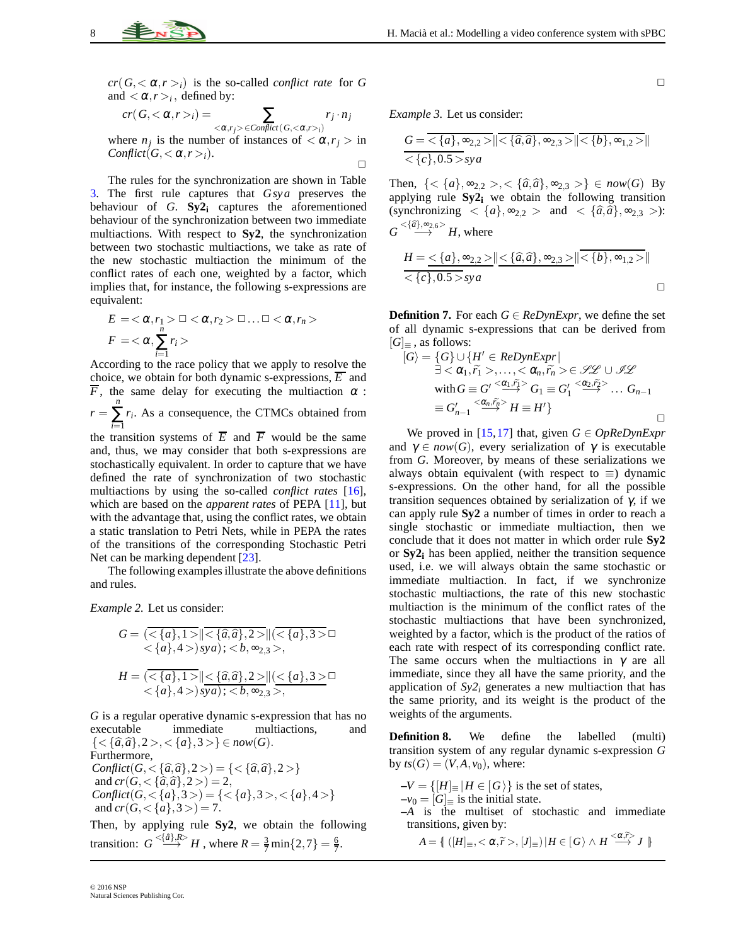$cr(G, <\alpha, r>_{i})$  is the so-called *conflict rate* for *G* and  $\langle \alpha, r \rangle_i$ , defined by:

$$
cr(G,<\alpha,r>_i)=\sum_{<\alpha,r_j> \in Conflict(G,<\alpha,r>_i)} r_j\cdot n_j
$$

where  $n_j$  is the number of instances of  $\langle \alpha, r_j \rangle$  in *Conflict*( $G, <\alpha, r>$ *i*).  $\Box$ 

The rules for the synchronization are shown in Table [3.](#page-8-0) The first rule captures that *Gsya* preserves the behaviour of *G*. **Sy2<sup>i</sup>** captures the aforementioned behaviour of the synchronization between two immediate multiactions. With respect to **Sy2**, the synchronization between two stochastic multiactions, we take as rate of the new stochastic multiaction the minimum of the conflict rates of each one, weighted by a factor, which implies that, for instance, the following s-expressions are equivalent:

$$
E = \langle \alpha, r_1 \rangle \square \langle \alpha, r_2 \rangle \square \dots \square \langle \alpha, r_n \rangle
$$
  

$$
F = \langle \alpha, \sum_{i=1}^n r_i \rangle
$$

According to the race policy that we apply to resolve the choice, we obtain for both dynamic s-expressions,  $\overline{E}$  and  $\overline{F}$ , the same delay for executing the multiaction  $\alpha$ :  $r =$  $\sum_{i=1}^{n} r_i$ . As a consequence, the CTMCs obtained from *i*=1

the transition systems of  $\overline{E}$  and  $\overline{F}$  would be the same and, thus, we may consider that both s-expressions are stochastically equivalent. In order to capture that we have defined the rate of synchronization of two stochastic multiactions by using the so-called *conflict rates* [\[16\]](#page-17-9), which are based on the *apparent rates* of PEPA [\[11\]](#page-17-1), but with the advantage that, using the conflict rates, we obtain a static translation to Petri Nets, while in PEPA the rates of the transitions of the corresponding Stochastic Petri Net can be marking dependent [\[23\]](#page-17-14).

The following examples illustrate the above definitions and rules.

*Example 2.* Let us consider:

$$
G = \frac{\langle \langle \{a\}, 1 \rangle | \langle \{\hat{a}, \hat{a}\}, 2 \rangle | |\langle \{a\}, 3 \rangle \rangle \rangle}{\langle \{a\}, 4 \rangle \rangle} \times b, \infty_{2,3} \rangle, \nH = \frac{\langle \{a\}, 1 \rangle | \langle \{\hat{a}, \hat{a}\}, 2 \rangle | |\langle \{a\}, 3 \rangle \rangle \rangle}{\langle \{a\}, 4 \rangle \rangle} \times b, \infty_{2,3} \rangle, \n\}
$$

*G* is a regular operative dynamic s-expression that has no executable immediate multiactions, and  ${ < \{\hat{a}, \hat{a}\}, 2>, < \{a\}, 3>} \in now(G).$ 

Furthermore, *Conflict*( $G, \langle \{ \hat{a}, \hat{a} \}, 2 \rangle$ ) = { $\langle \{ \hat{a}, \hat{a} \}, 2 \rangle$ } and  $cr(G, <{\hat{a}, \hat{a}}\, 2>) = 2$ , *Conflict*( $G, \langle \{a\}, 3 \rangle$ ) = { $\langle \{a\}, 3 \rangle, \langle \{a\}, 4 \rangle$ } and  $cr(G, <{a}, 3>) = 7$ .

Then, by applying rule **Sy2**, we obtain the following transition:  $G \stackrel{<{a} \to \infty}{\longrightarrow} H$ , where  $R = \frac{3}{7} \min\{2, 7\} = \frac{6}{7}$ .

*Example 3.* Let us consider:

$$
G = \langle \{a\}, \infty_{2,2} \rangle \|\langle \{\hat{a}, \hat{a}\}, \infty_{2,3} \rangle \|\langle \{b\}, \infty_{1,2} \rangle \|\langle \{c\}, 0.5 \rangle_{\text{Sya}}
$$

Then,  $\{<\{a\}, \infty_{2,2}>, <\{\hat{a}, \hat{a}\}, \infty_{2,3}>\} \in now(G)$  By applying rule **Sy2<sup>i</sup>** we obtain the following transition (synchronizing  $\langle \{a\}, \infty_{2,2} \rangle$  and  $\langle \{\hat{a}, \hat{a}\}, \infty_{2,3} \rangle$ ):  $G \stackrel{<{\{\widehat{a}\}, \infty_{2,6}>}}{\longrightarrow} H$ , where

$$
\frac{H = \langle \{a\}, \infty_{2,2} \rangle \|\langle \{\hat{a}, \hat{a}\}, \infty_{2,3} \rangle \|\langle \{b\}, \infty_{1,2} \rangle \|}{\langle \{c\}, 0.5 \rangle_{\text{Syg}}}
$$

**Definition 7.** For each  $G \in \text{ReDynExpr}$ , we define the set of all dynamic s-expressions that can be derived from  $|G|_{\equiv}$ , as follows:

$$
[G\rangle = \{G\} \cup \{H' \in RepynExpr \mid
$$
  
\n
$$
\exists < \alpha_1, \widetilde{r_1} >, \dots, < \alpha_n, \widetilde{r_n} > \in \mathscr{SL} \cup \mathscr{SL}
$$
  
\nwith  $G \equiv G' \xrightarrow{<\alpha_1, \widetilde{r_1}>} G_1 \equiv G'_1 \xrightarrow{<\alpha_2, \widetilde{r_2>}} \dots G_{n-1}$   
\n
$$
\equiv G'_{n-1} \xrightarrow{<\alpha_n, \widetilde{r_n>}} H \equiv H' \}
$$

We proved in [\[15,](#page-17-8)[17\]](#page-17-10) that, given  $G \in OpRep_{N}E_{X}$ and  $\gamma \in now(G)$ , every serialization of  $\gamma$  is executable from *G*. Moreover, by means of these serializations we always obtain equivalent (with respect to  $\equiv$ ) dynamic s-expressions. On the other hand, for all the possible transition sequences obtained by serialization of γ, if we can apply rule **Sy2** a number of times in order to reach a single stochastic or immediate multiaction, then we conclude that it does not matter in which order rule **Sy2** or **Sy2<sup>i</sup>** has been applied, neither the transition sequence used, i.e. we will always obtain the same stochastic or immediate multiaction. In fact, if we synchronize stochastic multiactions, the rate of this new stochastic multiaction is the minimum of the conflict rates of the stochastic multiactions that have been synchronized, weighted by a factor, which is the product of the ratios of each rate with respect of its corresponding conflict rate. The same occurs when the multiactions in  $\gamma$  are all immediate, since they all have the same priority, and the application of  $Sy2<sub>i</sub>$  generates a new multiaction that has the same priority, and its weight is the product of the weights of the arguments.

**Definition 8.** We define the labelled (multi) transition system of any regular dynamic s-expression *G* by  $ts(G) = (V, A, v_0)$ , where:

 $-V = \{ [H] \equiv | H \in G \rangle \}$  is the set of states,

 $-v_0 = [G]$  is the initial state.

**–***A* is the multiset of stochastic and immediate transitions, given by:

 $A = \{ ( [H]_{\equiv}, <\alpha, \widetilde{r}>, [J]_{\equiv} | H \in [G \setminus \wedge H \stackrel{<\alpha, \widetilde{r}}>{} J \}$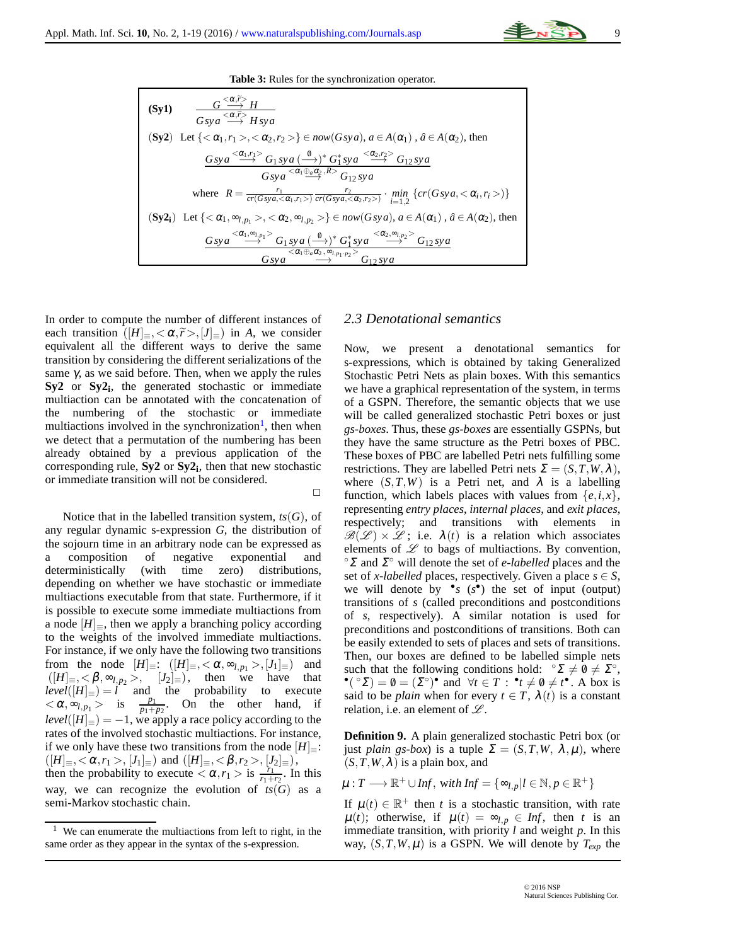

<span id="page-8-0"></span>
$$
\begin{array}{ll}\n\textbf{(Sy1)} & \frac{G < \alpha, \bar{r} > H}{Gsy \, a} \\
& \frac{G \cdot \alpha, \bar{r} > H}{Gsy \, a} \\
\textbf{(Sy2)} & \text{Let } \{ < \alpha_1, r_1 > \alpha_2, r_2 > \} \in \textit{now}(Gsy \, a), \, a \in A(\alpha_1), \, \hat{a} \in A(\alpha_2), \text{ then} \\
& \frac{Gsy \, a < \alpha_1, r_1 > G_1 \, sy \, a \, \left(\frac{\theta}{\alpha_1}\right)^* G_1^* \, sy \, a \, \left(\frac{\alpha_2, r_2 > G_{12} \, sy \, a}{Gsy \, a}\right)}{Gsy \, a < \alpha_1 \oplus \textit{a} \, \alpha_2, R > G_{12} \, sy \, a} \\
& \text{where } R = \frac{r_1}{cr(Gsy \, a, \alpha_1, r_1 > )} \cdot \frac{r_2}{cr(Gsy \, a, \alpha_2, r_2)} \cdot \frac{r_1}{r_1 \, r_2} \cdot \frac{r_2}{G_1 \, g \, y \, a} \\
\textbf{(Sy2_i)} & \text{Let } \{ < \alpha_1, \infty_{l, p_1} > \alpha_2, \infty_{l, p_2} > \} \in \textit{now}(Gsy \, a), \, a \in A(\alpha_1), \, \hat{a} \in A(\alpha_2), \text{ then} \\
& \frac{Gsy \, a < \alpha_1, \infty_{l, p_1} > G_{12} \, sy \, a \, \left(\frac{\theta}{G_1 \, g \, y \, a}\right)^* G_1^* \, sy \, a \, \left(\frac{\alpha_2, \infty_{l, p_2} > G_{12} \, sy \, a}{Gsy \, a} \\
& \frac{Gsy \, a \, \left(\frac{\alpha_1, \infty_{l, p_1} > G_{12} \, sy \, a \, \left(\frac{\alpha_2, \infty_{l, p_2} > G_{12} \, sy \, a}{G_2 \, g \, \left(\frac{\alpha_2, \infty_{l, p_2} > G_{12} \, sy \, a
$$

 $\Box$ 

In order to compute the number of different instances of each transition  $([H]_{\equiv}, <\alpha, \tilde{r}>, [J]_{\equiv})$  in *A*, we consider equivalent all the different ways to derive the same transition by considering the different serializations of the same  $\gamma$ , as we said before. Then, when we apply the rules **Sy2** or **Sy2<sup>i</sup>** , the generated stochastic or immediate multiaction can be annotated with the concatenation of the numbering of the stochastic or immediate multiactions involved in the synchronization<sup>[1](#page-8-1)</sup>, then when we detect that a permutation of the numbering has been already obtained by a previous application of the corresponding rule, **Sy2** or **Sy2<sup>i</sup>** , then that new stochastic or immediate transition will not be considered.

Notice that in the labelled transition system,  $ts(G)$ , of any regular dynamic s-expression *G*, the distribution of the sojourn time in an arbitrary node can be expressed as a composition of negative exponential and deterministically (with time zero) distributions, depending on whether we have stochastic or immediate multiactions executable from that state. Furthermore, if it is possible to execute some immediate multiactions from a node  $[H]_{\equiv}$ , then we apply a branching policy according to the weights of the involved immediate multiactions. For instance, if we only have the following two transitions from the node  $[H] \equiv : \left([H] \equiv , \langle \alpha, \infty_{l,p_1} \rangle, [J_1] \equiv \right)$  and  $([H]_{\equiv}, <\beta, \infty_{l,p_2}>, [J_2]_{\equiv}),$  then we have that  $level([H]_{\equiv}) = l$  and the probability to execute  $\langle \alpha, \infty, \rho_1 \rangle$  is  $\frac{p_1}{p_1+p_2}$ . On the other hand, if  $level([H]_{\equiv}) = -1$ , we apply a race policy according to the rates of the involved stochastic multiactions. For instance, if we only have these two transitions from the node  $[H]$ <sub>≡</sub>:  $([H]_{\equiv},<\alpha,r_1>,[J_1]_{\equiv})\text{ and }([H]_{\equiv},<\beta,r_2>,[J_2]_{\equiv}),$ then the probability to execute  $\langle \alpha, r_1 \rangle$  is  $\frac{r_1}{r_1+r_2}$ . In this way, we can recognize the evolution of  $ts(G)$  as a semi-Markov stochastic chain.

## *2.3 Denotational semantics*

Now, we present a denotational semantics for s-expressions, which is obtained by taking Generalized Stochastic Petri Nets as plain boxes. With this semantics we have a graphical representation of the system, in terms of a GSPN. Therefore, the semantic objects that we use will be called generalized stochastic Petri boxes or just *gs-boxes*. Thus, these *gs-boxes* are essentially GSPNs, but they have the same structure as the Petri boxes of PBC. These boxes of PBC are labelled Petri nets fulfilling some restrictions. They are labelled Petri nets  $\Sigma = (S, T, W, \lambda)$ , where  $(S, T, W)$  is a Petri net, and  $\lambda$  is a labelling function, which labels places with values from  $\{e, i, x\}$ , representing *entry places*, *internal places*, and *exit places*, respectively; and transitions with elements in  $\mathscr{B}(\mathscr{L}) \times \mathscr{L}$ ; i.e.  $\lambda(t)$  is a relation which associates elements of  $\mathscr L$  to bags of multiactions. By convention, ◦<sup>Σ</sup> and <sup>Σ</sup> ◦ will denote the set of *e-labelled* places and the set of *x*-labelled places, respectively. Given a place  $s \in S$ , we will denote by  $\bullet s$  ( $s$ <sup> $\bullet$ </sup>) the set of input (output) transitions of *s* (called preconditions and postconditions of *s*, respectively). A similar notation is used for preconditions and postconditions of transitions. Both can be easily extended to sets of places and sets of transitions. Then, our boxes are defined to be labelled simple nets such that the following conditions hold:  $\mathcal{L} \times \mathcal{L} \times \mathcal{L}^{\circ}$ ,  $\bullet$  ( $\circ$ Σ) =  $\emptyset = (\Sigma^{\circ})^{\bullet}$  and  $\forall t \in T : \bullet_t \neq \emptyset \neq t^{\bullet}$ . A box is said to be *plain* when for every  $t \in T$ ,  $\lambda(t)$  is a constant relation, i.e. an element of  $\mathscr{L}$ .

**Definition 9.** A plain generalized stochastic Petri box (or just *plain gs-box*) is a tuple  $\Sigma = (S, T, W, \lambda, \mu)$ , where  $(S, T, W, \lambda)$  is a plain box, and

$$
\mu: T \longrightarrow \mathbb{R}^+ \cup Inf, \text{ with Inf} = \{ \infty_{l,p} | l \in \mathbb{N}, p \in \mathbb{R}^+ \}
$$

If  $\mu(t) \in \mathbb{R}^+$  then *t* is a stochastic transition, with rate  $\mu(t)$ ; otherwise, if  $\mu(t) = \infty_{l,p} \in Inf$ , then *t* is an immediate transition, with priority *l* and weight *p*. In this way,  $(S, T, W, \mu)$  is a GSPN. We will denote by  $T_{exp}$  the

<span id="page-8-1"></span><sup>&</sup>lt;sup>1</sup> We can enumerate the multiactions from left to right, in the same order as they appear in the syntax of the s-expression.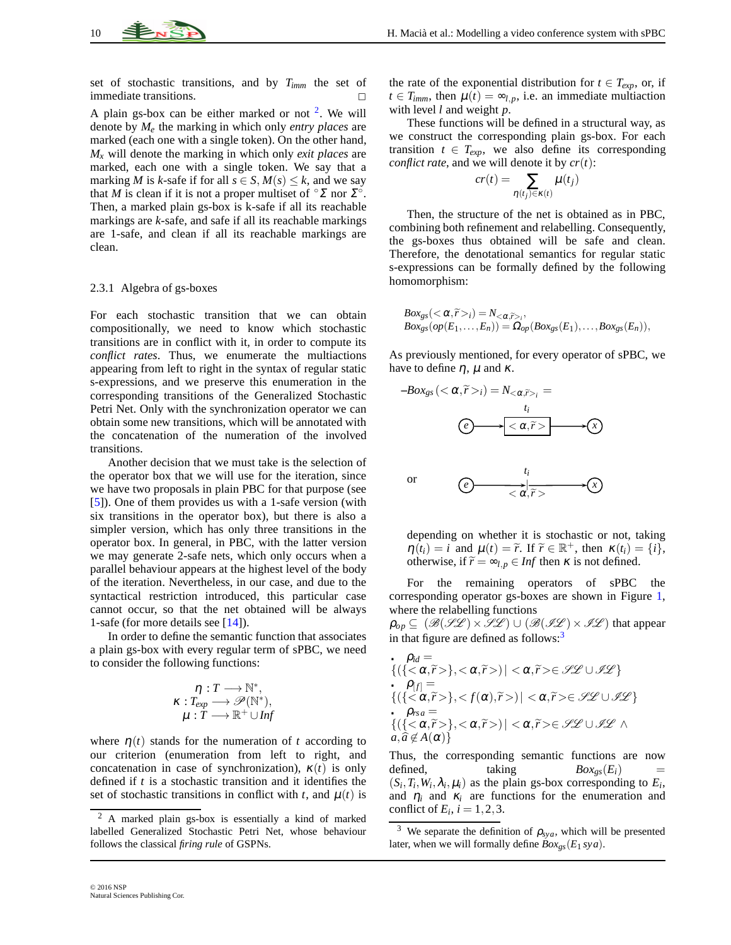set of stochastic transitions, and by *Timm* the set of immediate transitions.

A plain gs-box can be either marked or not  $2$ . We will denote by *M<sup>e</sup>* the marking in which only *entry places* are marked (each one with a single token). On the other hand, *M<sup>x</sup>* will denote the marking in which only *exit places* are marked, each one with a single token. We say that a marking *M* is *k*-safe if for all  $s \in S$ ,  $M(s) \leq k$ , and we say that *M* is clean if it is not a proper multiset of  $\Omega \Sigma$  nor  $\Sigma$ <sup>o</sup>. Then, a marked plain gs-box is k-safe if all its reachable markings are *k*-safe, and safe if all its reachable markings are 1-safe, and clean if all its reachable markings are clean.

#### 2.3.1 Algebra of gs-boxes

For each stochastic transition that we can obtain compositionally, we need to know which stochastic transitions are in conflict with it, in order to compute its *conflict rates*. Thus, we enumerate the multiactions appearing from left to right in the syntax of regular static s-expressions, and we preserve this enumeration in the corresponding transitions of the Generalized Stochastic Petri Net. Only with the synchronization operator we can obtain some new transitions, which will be annotated with the concatenation of the numeration of the involved transitions.

Another decision that we must take is the selection of the operator box that we will use for the iteration, since we have two proposals in plain PBC for that purpose (see [\[5\]](#page-16-2)). One of them provides us with a 1-safe version (with six transitions in the operator box), but there is also a simpler version, which has only three transitions in the operator box. In general, in PBC, with the latter version we may generate 2-safe nets, which only occurs when a parallel behaviour appears at the highest level of the body of the iteration. Nevertheless, in our case, and due to the syntactical restriction introduced, this particular case cannot occur, so that the net obtained will be always 1-safe (for more details see [\[14\]](#page-17-7)).

In order to define the semantic function that associates a plain gs-box with every regular term of sPBC, we need to consider the following functions:

$$
\eta: T \longrightarrow \mathbb{N}^*,
$$
  
\n
$$
\kappa: T_{exp} \longrightarrow \mathscr{P}(\mathbb{N}^*),
$$
  
\n
$$
\mu: T \longrightarrow \mathbb{R}^+ \cup Inf
$$

where  $\eta(t)$  stands for the numeration of *t* according to our criterion (enumeration from left to right, and concatenation in case of synchronization),  $\kappa(t)$  is only defined if *t* is a stochastic transition and it identifies the set of stochastic transitions in conflict with *t*, and  $\mu(t)$  is the rate of the exponential distribution for  $t \in T_{exp}$ , or, if  $t \in T_{imm}$ , then  $\mu(t) = \infty_{l,p}$ , i.e. an immediate multiaction with level *l* and weight *p*.

These functions will be defined in a structural way, as we construct the corresponding plain gs-box. For each transition  $t \in T_{exp}$ , we also define its corresponding *conflict rate*, and we will denote it by *cr*(*t*):

$$
cr(t) = \sum_{\eta(t_j) \in \kappa(t)} \mu(t_j)
$$

Then, the structure of the net is obtained as in PBC, combining both refinement and relabelling. Consequently, the gs-boxes thus obtained will be safe and clean. Therefore, the denotational semantics for regular static s-expressions can be formally defined by the following homomorphism:

$$
Box_{gs}( $\alpha, \widetilde{r} > i$ ) = N <sub>$\alpha, \widetilde{r} > i$</sub> ,  
\n
$$
Box_{gs}(op(E_1, \ldots, E_n)) = \Omega_{op}(Box_{gs}(E_1), \ldots, Box_{gs}(E_n)),
$$
$$

As previously mentioned, for every operator of sPBC, we have to define  $\eta$ ,  $\mu$  and  $\kappa$ .



depending on whether it is stochastic or not, taking  $\eta(t_i) = i$  and  $\mu(t) = \tilde{r}$ . If  $\tilde{r} \in \mathbb{R}^+$ , then  $\kappa(t_i) = \{i\}$ , otherwise, if  $\widetilde{r} = \infty_{l,p} \in Inf$  then  $\kappa$  is not defined.

For the remaining operators of sPBC the corresponding operator gs-boxes are shown in Figure [1,](#page-10-0) where the relabelling functions

 $\rho_{op} \subseteq (\mathcal{B}(\mathcal{HL}) \times \mathcal{HL}) \cup (\mathcal{B}(\mathcal{HL}) \times \mathcal{HL})$  that appear in that figure are defined as follows: $3$ 

$$
\rho_{id} = \{ (\{<\alpha, \tilde{r}> \}, <\alpha, \tilde{r}> ) | <\alpha, \tilde{r}> \in \mathscr{HL} \cup \mathscr{HL} \}
$$
  
\n
$$
\rho_{[f]} = \{ (\{<\alpha, \tilde{r}> \},  ) | <\alpha, \tilde{r}> \in \mathscr{HL} \cup \mathscr{HL} \}
$$
  
\n
$$
\rho_{rsa} = \{ (\{<\alpha, \tilde{r}> \}, <\alpha, \tilde{r}> ) | <\alpha, \tilde{r}> \in \mathscr{HL} \cup \mathscr{HL} \land
$$
  
\n
$$
a, \hat{a} \notin A(\alpha) \}
$$

Thus, the corresponding semantic functions are now defined, taking  $Box_{gs}(E_i)$  $(S_i, T_i, W_i, \lambda_i, \mu_i)$  as the plain gs-box corresponding to  $E_i$ , and  $\eta_i$  and  $\kappa_i$  are functions for the enumeration and conflict of  $E_i$ ,  $i = 1, 2, 3$ .

<span id="page-9-1"></span><sup>3</sup> We separate the definition of  $\rho_{sya}$ , which will be presented later, when we will formally define  $Box_{gs}(E_1 sya)$ .

<span id="page-9-0"></span><sup>2</sup> A marked plain gs-box is essentially a kind of marked labelled Generalized Stochastic Petri Net, whose behaviour follows the classical *firing rule* of GSPNs.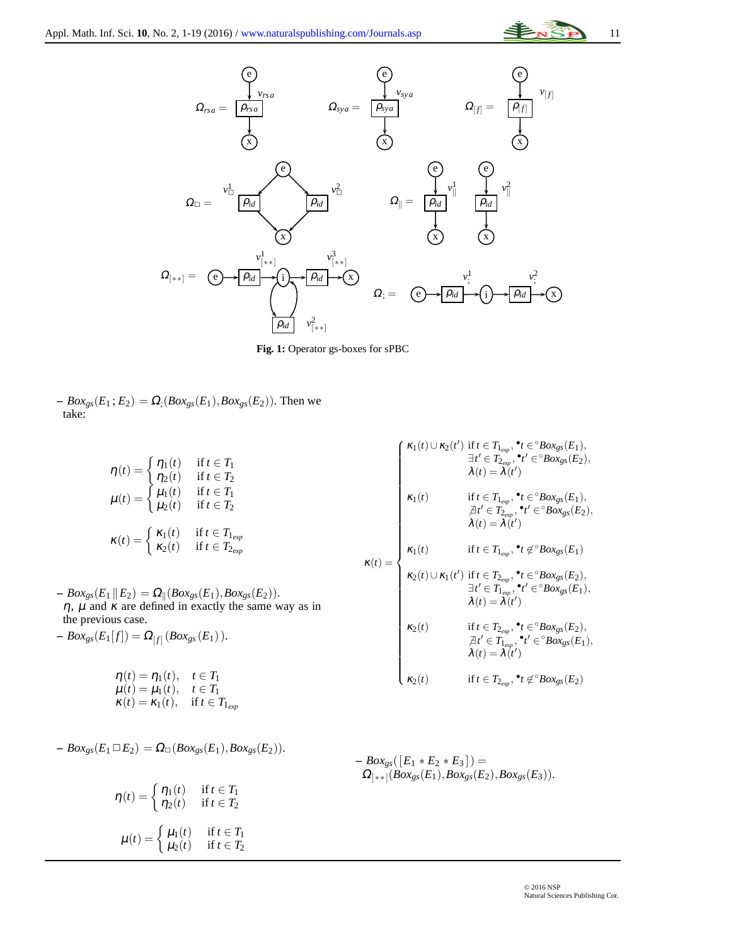





<span id="page-10-0"></span> $-$  *Box<sub>gs</sub>*( $E_1$ ;  $E_2$ ) =  $\Omega$ <sub>;</sub>(*Box<sub>gs</sub>*( $E_1$ ), *Box<sub>gs</sub>*( $E_2$ )). Then we take:

$$
\eta(t) = \begin{cases} \eta_1(t) & \text{if } t \in T_1 \\ \eta_2(t) & \text{if } t \in T_2 \end{cases}
$$

$$
\mu(t) = \begin{cases} \mu_1(t) & \text{if } t \in T_1 \\ \mu_2(t) & \text{if } t \in T_2 \end{cases}
$$

$$
\kappa(t) = \begin{cases} \kappa_1(t) & \text{if } t \in T_{1_{exp}} \\ \kappa_2(t) & \text{if } t \in T_{2_{exp}} \end{cases}
$$

 $-Box_{gs}(E_1 \,|| E_2) = \Omega_{\parallel}(Box_{gs}(E_1),Box_{gs}(E_2)).$  $\eta$ ,  $\mu$  and  $\kappa$  are defined in exactly the same way as in the previous case.

$$
- \operatorname{Box}_{\operatorname{gs}}(E_1[f]) = \Omega_{[f]} \left( \operatorname{Box}_{\operatorname{gs}}(E_1) \right).
$$

$$
\eta(t) = \eta_1(t), \quad t \in T_1
$$
  
\n
$$
\mu(t) = \mu_1(t), \quad t \in T_1
$$
  
\n
$$
\kappa(t) = \kappa_1(t), \quad \text{if } t \in T_{1_{exp}}
$$

$$
- Box_{gs}(E_1 \square E_2) = \Omega_{\square}(Box_{gs}(E_1), Box_{gs}(E_2)).
$$

$$
\eta(t) = \begin{cases} \eta_1(t) & \text{if } t \in T_1 \\ \eta_2(t) & \text{if } t \in T_2 \end{cases}
$$

$$
\mu(t) = \begin{cases} \mu_1(t) & \text{if } t \in T_1 \\ \mu_2(t) & \text{if } t \in T_2 \end{cases}
$$

$$
\kappa(t) = \begin{cases}\n\kappa_1(t) \cup \kappa_2(t') & \text{if } t \in T_{1_{exp}}, \mathbf{v}_t \in \mathcal{B}o_{x_{gs}}(E_1), \\
\exists t' \in T_{2_{exp}}, \mathbf{v}_t' \in \mathcal{B}o_{x_{gs}}(E_2), \\
\lambda(t) = \lambda(t')\n\end{cases}
$$
\n
$$
\kappa_1(t) \qquad \text{if } t \in T_{1_{exp}}, \mathbf{v}_t \in \mathcal{B}o_{x_{gs}}(E_1), \\
\lambda(t) = \lambda(t')\n\end{cases}
$$
\n
$$
\kappa(t) = \begin{cases}\n\kappa_1(t) & \text{if } t \in T_{1_{exp}}, \mathbf{v}_t \in \mathcal{B}o_{x_{gs}}(E_2), \\
\kappa_1(t) & \text{if } t \in T_{1_{exp}}, \mathbf{v}_t \in \mathcal{B}o_{x_{gs}}(E_1) \\
\kappa_2(t) \cup \kappa_1(t') & \text{if } t \in T_{2_{exp}}, \mathbf{v}_t' \in \mathcal{B}o_{x_{gs}}(E_2), \\
\exists t' \in T_{1_{exp}}, \mathbf{v}_t' \in \mathcal{B}o_{x_{gs}}(E_2), \\
\lambda(t) = \lambda(t')\n\end{cases}
$$
\n
$$
\kappa_2(t) \qquad \text{if } t \in T_{2_{exp}}, \mathbf{v}_t' \in \mathcal{B}o_{x_{gs}}(E_2), \\
\lambda(t) = \lambda(t')\n\end{cases}
$$
\n
$$
\kappa_2(t) \qquad \text{if } t \in T_{2_{exp}}, \mathbf{v}_t' \in \mathcal{B}o_{x_{gs}}(E_2), \\
\lambda(t) = \lambda(t')\n\qquad\n\kappa_2(t) \qquad \text{if } t \in T_{2_{exp}}, \mathbf{v}_t' \in \mathcal{B}o_{x_{gs}}(E_2)
$$

$$
\kappa_2(t) \hspace{1cm} \text{if } t \in T_{2_{exp}}, \text{ }^{\bullet}t \not\in {^{\circ}Box_{gs}(E_2)}
$$

$$
- Box_{gs}([E_1 * E_2 * E_3]) = \\ \Omega_{[**]}(Box_{gs}(E_1), Box_{gs}(E_2), Box_{gs}(E_3)).
$$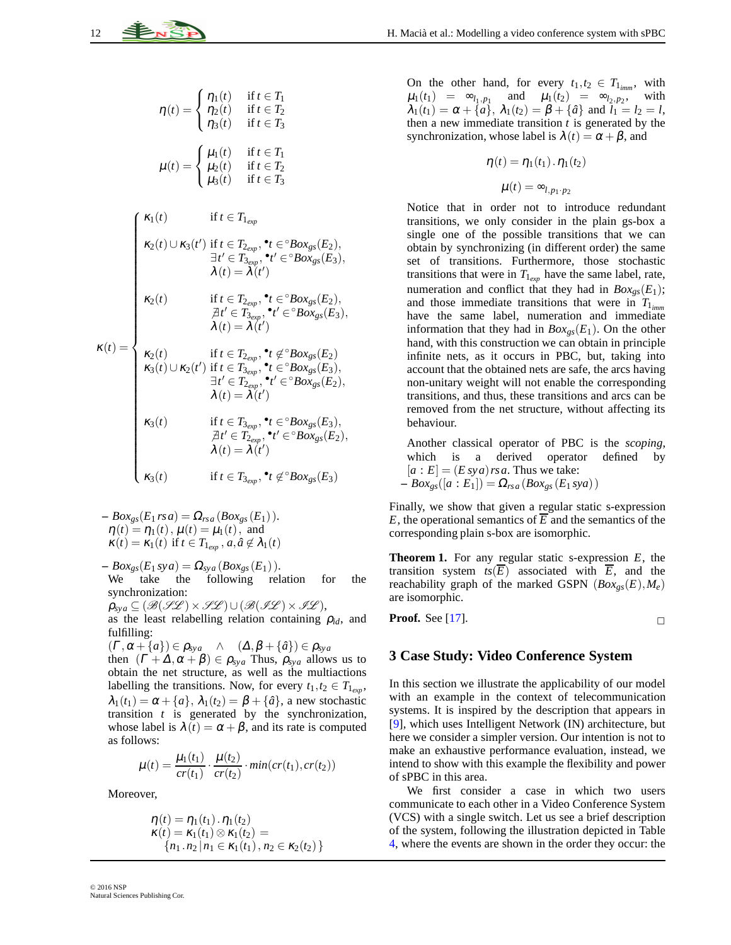$$
\mathbf{12} \quad \stackrel{\text{4.7}}{\text{2.87}}
$$

$$
\eta(t) = \begin{cases} \eta_1(t) & \text{if } t \in T_1 \\ \eta_2(t) & \text{if } t \in T_2 \\ \eta_3(t) & \text{if } t \in T_3 \end{cases}
$$

$$
\mu(t) = \begin{cases} \mu_1(t) & \text{if } t \in T_1 \\ \mu_2(t) & \text{if } t \in T_2 \\ \mu_3(t) & \text{if } t \in T_3 \end{cases}
$$

$$
\int \kappa_1(t) \qquad \qquad \text{if } t \in T_{1_{exp}}
$$

$$
\kappa_2(t) \cup \kappa_3(t') \text{ if } t \in T_{2_{exp}}, \text{ }^{\bullet}t \in {}^{\circ}Box_{gs}(E_2),
$$
\n
$$
\exists t' \in T_{3_{exp}}, \text{ }^{\bullet}t' \in {}^{\circ}Box_{gs}(E_2),
$$
\n
$$
\lambda(t) = \lambda(t')
$$
\n
$$
\kappa_2(t) \text{ if } t \in T_{2_{exp}}, \text{ }^{\bullet}t \in {}^{\circ}Box_{gs}(E_2),
$$
\n
$$
\forall t' \in T_{3_{exp}}, \text{ }^{\bullet}t' \in {}^{\circ}Box_{gs}(E_2),
$$
\n
$$
\lambda(t) = \lambda(t')
$$

$$
\begin{aligned}\n\kappa_2(t) & \text{if } t \in T_{2_{exp}}, \, ^\bullet t \in ^{\circ}Box_{gs}(E_2), \\
\text{if } t' \in T_{3_{exp}}, \, ^\bullet t' \in ^{\circ}Box_{gs}(E_3), \\
\lambda(t) = \lambda(t')\n\end{aligned}
$$

$$
\kappa(t) = \begin{cases}\n\kappa_2(t) & \text{if } t \in T_{2_{exp}}, \mathbf{^*t} \notin {}^{\circ}Box_{gs}(E_2) \\
\kappa_3(t) \cup \kappa_2(t') & \text{if } t \in T_{3_{exp}}, \mathbf{^*t} \in {}^{\circ}Box_{gs}(E_3), \\
\exists t' \in T_{2_{exp}}, \mathbf{^*t'} \in {}^{\circ}Box_{gs}(E_2), \\
\lambda(t) = \lambda(t')\n\end{cases}
$$

$$
\kappa_3(t) \cup \kappa_2(t')
$$
 if  $t \in T_{3_{exp}}, \bullet_t \in \text{Box}_{gs}(E_3),$   
\n
$$
\exists t' \in T_{2_{exp}}, \bullet t' \in \text{Box}_{gs}(E_3),
$$
\n
$$
\lambda(t) = \lambda(t')
$$
\n
$$
\kappa_3(t)
$$
 if  $t \in T_{3_{exp}}, \bullet_t \in \text{Box}_{gs}(E_3),$   
\n
$$
\forall t' \in T_{2_{exp}}, \bullet_t \in \text{Box}_{gs}(E_3),
$$
  
\n
$$
\lambda(t) = \lambda(t')
$$
\n
$$
\kappa_3(t)
$$
 if  $t \in T_{3_{exp}}, \bullet_t \notin \text{Box}_{gs}(E_3)$ 

$$
-Box_{gs}(E_1 rsa) = \Omega_{rsa}(Box_{gs}(E_1)).
$$
  
\n
$$
\eta(t) = \eta_1(t), \mu(t) = \mu_1(t), \text{ and}
$$
  
\n
$$
\kappa(t) = \kappa_1(t) \text{ if } t \in T_{1_{exp}}, a, \hat{a} \notin \lambda_1(t)
$$

 $Box_{gs}(E_1 sya) = \Omega_{sya}(Box_{gs}(E_1)).$ We take the following relation for the synchronization:

 $\rho_{sya} \subseteq (\mathcal{B}(\mathcal{HL}) \times \mathcal{HL}) \cup (\mathcal{B}(\mathcal{HL}) \times \mathcal{HL}),$ as the least relabelling relation containing  $\rho_{id}$ , and fulfilling:

$$
(\Gamma, \alpha + \{a\}) \in \rho_{\text{sys}} \quad \wedge \quad (\Delta, \beta + \{\hat{a}\}) \in \rho_{\text{sys}}
$$

then  $(\Gamma + \Delta, \alpha + \beta) \in \rho_{sya}$  Thus,  $\rho_{sya}$  allows us to obtain the net structure, as well as the multiactions labelling the transitions. Now, for every  $t_1, t_2 \in T_{1_{exp}}$ ,  $\lambda_1(t_1) = \alpha + \{a\}, \lambda_1(t_2) = \beta + \{\hat{a}\}, \lambda_2$  new stochastic transition *t* is generated by the synchronization, whose label is  $\lambda(t) = \alpha + \beta$ , and its rate is computed as follows:

$$
\mu(t) = \frac{\mu_1(t_1)}{cr(t_1)} \cdot \frac{\mu(t_2)}{cr(t_2)} \cdot min(cr(t_1), cr(t_2))
$$

Moreover,

$$
\eta(t) = \eta_1(t_1) \cdot \eta_1(t_2) \n\kappa(t) = \kappa_1(t_1) \otimes \kappa_1(t_2) = \n\{n_1 \cdot n_2 | n_1 \in \kappa_1(t_1), n_2 \in \kappa_2(t_2)\}
$$

On the other hand, for every  $t_1, t_2 \in T_{1_{\text{imm}}}$ , with  $\mu_1(t_1) = \infty_{l_1, p_1}$  and  $\mu_1(t_2) = \infty_{l_2, p_2}$ , with  $\lambda_1(t_1) = \alpha + {\hat{a}}$ ,  $\lambda_1(t_2) = \beta + {\hat{a}}$  and  $\bar{l}_1 = l_2 = l$ , then a new immediate transition *t* is generated by the synchronization, whose label is  $\lambda(t) = \alpha + \beta$ , and

$$
\eta(t) = \eta_1(t_1) \cdot \eta_1(t_2)
$$

$$
\mu(t) = \infty_{l, p_1 \cdot p_2}
$$

Notice that in order not to introduce redundant transitions, we only consider in the plain gs-box a single one of the possible transitions that we can obtain by synchronizing (in different order) the same set of transitions. Furthermore, those stochastic transitions that were in  $T_{1_{exp}}$  have the same label, rate, numeration and conflict that they had in  $Box_{gs}(E_1)$ ; and those immediate transitions that were in  $T_{1_{\text{imm}}}$ have the same label, numeration and immediate information that they had in  $Box_{gs}(E_1)$ . On the other hand, with this construction we can obtain in principle infinite nets, as it occurs in PBC, but, taking into account that the obtained nets are safe, the arcs having non-unitary weight will not enable the corresponding transitions, and thus, these transitions and arcs can be removed from the net structure, without affecting its behaviour.

Another classical operator of PBC is the *scoping*, which is a derived operator defined by  $[a : E] = (E \, sy \, a) \, rs \, a$ . Thus we take:  $-$  *Box*<sub>gs</sub>([*a* : *E*<sub>1</sub>]) =  $\Omega_{rsa}(Box_{gs}(E_1 sya))$ 

Finally, we show that given a regular static s-expression *E*, the operational semantics of  $\overline{E}$  and the semantics of the corresponding plain s-box are isomorphic.

**Theorem 1.** For any regular static s-expression *E*, the transition system  $ts(\overline{E})$  associated with  $\overline{E}$ , and the reachability graph of the marked GSPN (*Boxgs*(*E*),*Me*) are isomorphic.

**Proof.** See [\[17\]](#page-17-10).

## **3 Case Study: Video Conference System**

In this section we illustrate the applicability of our model with an example in the context of telecommunication systems. It is inspired by the description that appears in [\[9\]](#page-16-7), which uses Intelligent Network (IN) architecture, but here we consider a simpler version. Our intention is not to make an exhaustive performance evaluation, instead, we intend to show with this example the flexibility and power of sPBC in this area.

We first consider a case in which two users communicate to each other in a Video Conference System (VCS) with a single switch. Let us see a brief description of the system, following the illustration depicted in Table [4,](#page-12-0) where the events are shown in the order they occur: the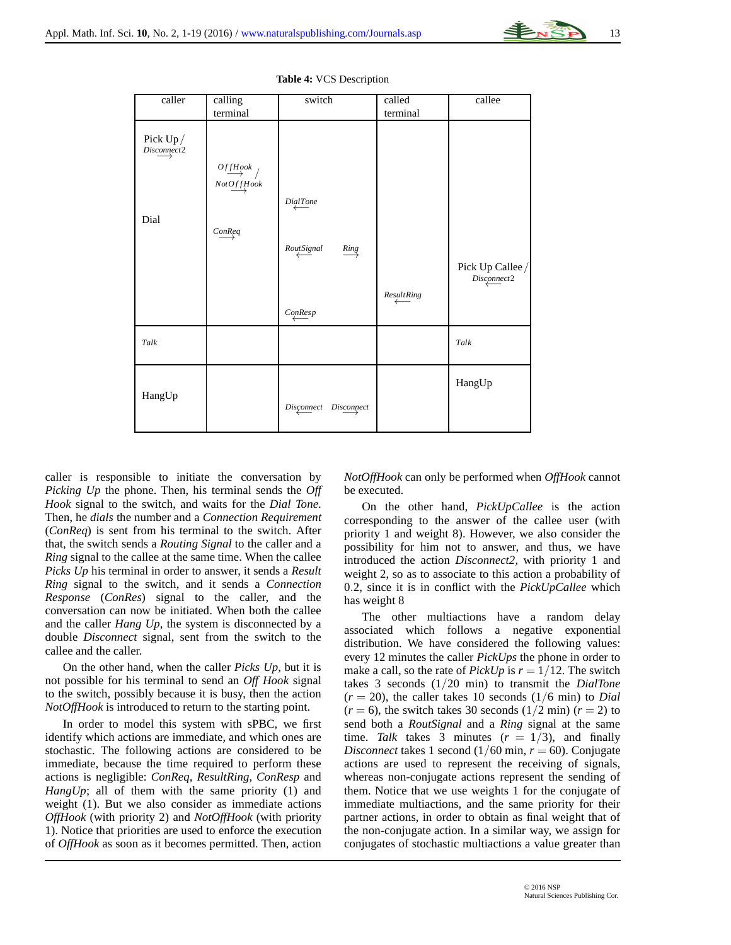

<span id="page-12-0"></span>

| caller                     | calling<br>terminal                                     | switch                                        | called<br>terminal | callee                          |
|----------------------------|---------------------------------------------------------|-----------------------------------------------|--------------------|---------------------------------|
| Pick $Up/$<br>Discompact 2 |                                                         |                                               |                    |                                 |
|                            | $\stackrel{OffHook}{\longrightarrow}$ /<br>$NotOffBook$ |                                               |                    |                                 |
| Dial                       |                                                         | DigitTone                                     |                    |                                 |
|                            | ConReq                                                  | $\textit{RoutSignal}$<br>$\xrightarrow{Ring}$ |                    |                                 |
|                            |                                                         |                                               |                    | Pick Up Callee /<br>Disconnect2 |
|                            |                                                         | ConResp                                       | ResultRing         |                                 |
| Talk                       |                                                         |                                               |                    | Talk                            |
| HangUp                     |                                                         |                                               |                    | HangUp                          |

*Disconnect* ←− *Disconnect* −→

#### **Table 4:** VCS Description

caller is responsible to initiate the conversation by *Picking Up* the phone. Then, his terminal sends the *Off Hook* signal to the switch, and waits for the *Dial Tone*. Then, he *dials* the number and a *Connection Requirement* (*ConReq*) is sent from his terminal to the switch. After that, the switch sends a *Routing Signal* to the caller and a *Ring* signal to the callee at the same time. When the callee *Picks Up* his terminal in order to answer, it sends a *Result Ring* signal to the switch, and it sends a *Connection Response* (*ConRes*) signal to the caller, and the conversation can now be initiated. When both the callee and the caller *Hang Up*, the system is disconnected by a double *Disconnect* signal, sent from the switch to the callee and the caller.

On the other hand, when the caller *Picks Up*, but it is not possible for his terminal to send an *Off Hook* signal to the switch, possibly because it is busy, then the action *NotOffHook* is introduced to return to the starting point.

In order to model this system with sPBC, we first identify which actions are immediate, and which ones are stochastic. The following actions are considered to be immediate, because the time required to perform these actions is negligible: *ConReq*, *ResultRing*, *ConResp* and *HangUp*; all of them with the same priority (1) and weight (1). But we also consider as immediate actions *OffHook* (with priority 2) and *NotOffHook* (with priority 1). Notice that priorities are used to enforce the execution of *OffHook* as soon as it becomes permitted. Then, action

*NotOffHook* can only be performed when *OffHook* cannot be executed.

On the other hand, *PickUpCallee* is the action corresponding to the answer of the callee user (with priority 1 and weight 8). However, we also consider the possibility for him not to answer, and thus, we have introduced the action *Disconnect2*, with priority 1 and weight 2, so as to associate to this action a probability of 0.2, since it is in conflict with the *PickUpCallee* which has weight 8

The other multiactions have a random delay associated which follows a negative exponential distribution. We have considered the following values: every 12 minutes the caller *PickUps* the phone in order to make a call, so the rate of *PickUp* is  $r = 1/12$ . The switch takes 3 seconds (1/20 min) to transmit the *DialTone*  $(r = 20)$ , the caller takes 10 seconds  $(1/6 \text{ min})$  to *Dial*  $(r = 6)$ , the switch takes 30 seconds  $(1/2 \text{ min}) (r = 2)$  to send both a *RoutSignal* and a *Ring* signal at the same time. *Talk* takes 3 minutes  $(r = 1/3)$ , and finally *Disconnect* takes 1 second  $(1/60 \text{ min}, r = 60)$ . Conjugate actions are used to represent the receiving of signals, whereas non-conjugate actions represent the sending of them. Notice that we use weights 1 for the conjugate of immediate multiactions, and the same priority for their partner actions, in order to obtain as final weight that of the non-conjugate action. In a similar way, we assign for conjugates of stochastic multiactions a value greater than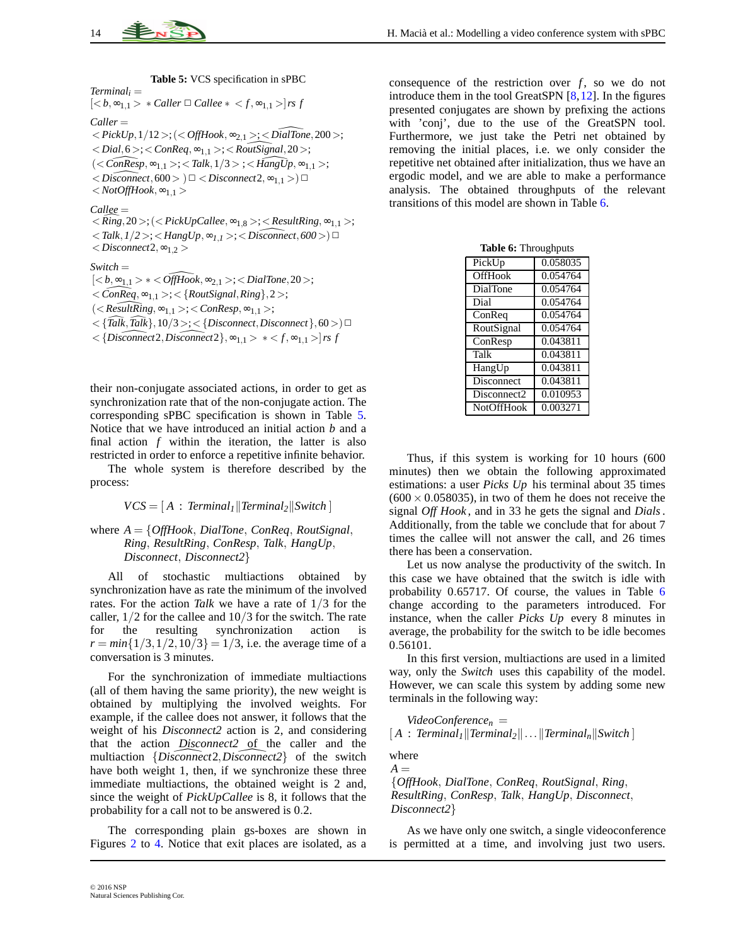*Switch* =

**Table 5:** VCS specification in sPBC

<span id="page-13-0"></span>*Terminal<sub>i</sub>* =  
\n
$$
[ *Caller ⊡ Callee * < f, \infty_{1,1} > ]rs f
$$
\n*Caller* =  
\n
$$
< PickUp, 1/12 > ; (< OffBook, \infty_{2,1} > ; < DiaTrone, 200 >;
$$
\n
$$
< Dial, 6 > ; < ConReg, \infty_{1,1} > ; < RoutSignal, 20 >;
$$
\n
$$
(< ConResp, \infty_{1,1} > ; < Talk, 1/3 > ; < HangUp, \infty_{1,1} >;
$$
\n
$$
< Disconnect, 600 > ) \square < Disconnect2, \infty_{1,1} > ] \square
$$
\n
$$
< NotoffBook, \infty_{1,1} >
$$
\n*Callee* =  
\n
$$
< Ring, 20 > ; (< PickUpCallee, \infty_{1,8} > ; < ResultRing, \infty_{1,1} >;
$$
\n
$$
< Talk, 1/2 > ; < HangUp, \infty_{1,1} > ; < Disconnect, 600 >) \square
$$
\n
$$
< Disconnect2, \infty_{1,2} >
$$
\n*Switch* =  
\n
$$
[ * < OffBook, \infty_{2,1} > ; < DialTone, 20 >;
$$
\n
$$
< ConReg, \infty_{1,1} > ; < [RoutSignal, Ring], 2 >;
$$
\n
$$
< ResultRing, \infty_{1,1} > ; < ConResp, \infty_{1,1} >;
$$
\n
$$
< \{Talk, Talk\}, 10/3 > ; < [Disconnect, Disconnect\}, 60 >) \square
$$
\n
$$
< \{Disconnect2, Disconnect2\}, \infty_{1,1} > * < f, \infty_{1,1} > |rsf
$$

their non-conjugate associated actions, in order to get as synchronization rate that of the non-conjugate action. The corresponding sPBC specification is shown in Table [5.](#page-13-0) Notice that we have introduced an initial action *b* and a final action *f* within the iteration, the latter is also restricted in order to enforce a repetitive infinite behavior.

The whole system is therefore described by the process:

$$
VCS = [A : Terminal1 || Terminal2 || Switch]
$$

#### where *A* = {*OffHook*, *DialTone*, *ConReq*, *RoutSignal*, *Ring*, *ResultRing*, *ConResp*, *Talk*, *HangUp*, *Disconnect*, *Disconnect2*}

All of stochastic multiactions obtained by synchronization have as rate the minimum of the involved rates. For the action *Talk* we have a rate of 1/3 for the caller, 1/2 for the callee and 10/3 for the switch. The rate for the resulting synchronization action is  $r = min\{1/3, 1/2, 10/3\} = 1/3$ , i.e. the average time of a conversation is 3 minutes.

For the synchronization of immediate multiactions (all of them having the same priority), the new weight is obtained by multiplying the involved weights. For example, if the callee does not answer, it follows that the weight of his *Disconnect2* action is 2, and considering that the action *Disconnect2* of the caller and the multiaction {*Disconnect* 2, *Disconnect* 2} of the switch have both weight 1, then, if we synchronize these three immediate multiactions, the obtained weight is 2 and, since the weight of *PickUpCallee* is 8, it follows that the probability for a call not to be answered is 0.2.

The corresponding plain gs-boxes are shown in Figures [2](#page-14-0) to [4.](#page-15-0) Notice that exit places are isolated, as a consequence of the restriction over  $f$ , so we do not introduce them in the tool GreatSPN  $[8, 12]$  $[8, 12]$ . In the figures presented conjugates are shown by prefixing the actions with 'conj', due to the use of the GreatSPN tool. Furthermore, we just take the Petri net obtained by removing the initial places, i.e. we only consider the repetitive net obtained after initialization, thus we have an ergodic model, and we are able to make a performance analysis. The obtained throughputs of the relevant transitions of this model are shown in Table [6.](#page-13-1)

<span id="page-13-1"></span>

| <b>Table 6: Throughputs</b> |          |  |
|-----------------------------|----------|--|
| PickUp                      | 0.058035 |  |
| <b>OffHook</b>              | 0.054764 |  |
| <b>DialTone</b>             | 0.054764 |  |
| Dial                        | 0.054764 |  |
| ConReq                      | 0.054764 |  |
| RoutSignal                  | 0.054764 |  |
| ConResp                     | 0.043811 |  |
| Talk                        | 0.043811 |  |
| HangUp                      | 0.043811 |  |
| <b>Disconnect</b>           | 0.043811 |  |
| Disconnect2                 | 0.010953 |  |
| <b>NotOffHook</b>           | 0.003271 |  |

Thus, if this system is working for 10 hours (600 minutes) then we obtain the following approximated estimations: a user *Picks Up* his terminal about 35 times  $(600 \times 0.058035)$ , in two of them he does not receive the signal *Off Hook* , and in 33 he gets the signal and *Dials*. Additionally, from the table we conclude that for about 7 times the callee will not answer the call, and 26 times there has been a conservation.

Let us now analyse the productivity of the switch. In this case we have obtained that the switch is idle with probability 0.65717. Of course, the values in Table [6](#page-13-1) change according to the parameters introduced. For instance, when the caller *Picks Up* every 8 minutes in average, the probability for the switch to be idle becomes 0.56101.

In this first version, multiactions are used in a limited way, only the *Switch* uses this capability of the model. However, we can scale this system by adding some new terminals in the following way:

*VideoConference<sup>n</sup>* =  $[A : Terminal<sub>I</sub>$ ||Terminal<sub>2</sub>|| ...||Terminal<sub>n</sub>||Switch<sup>|</sup>

where  $A =$ 

{*OffHook*, *DialTone*, *ConReq*, *RoutSignal*, *Ring*, *ResultRing*, *ConResp*, *Talk*, *HangUp*, *Disconnect*, *Disconnect2*}

As we have only one switch, a single videoconference is permitted at a time, and involving just two users.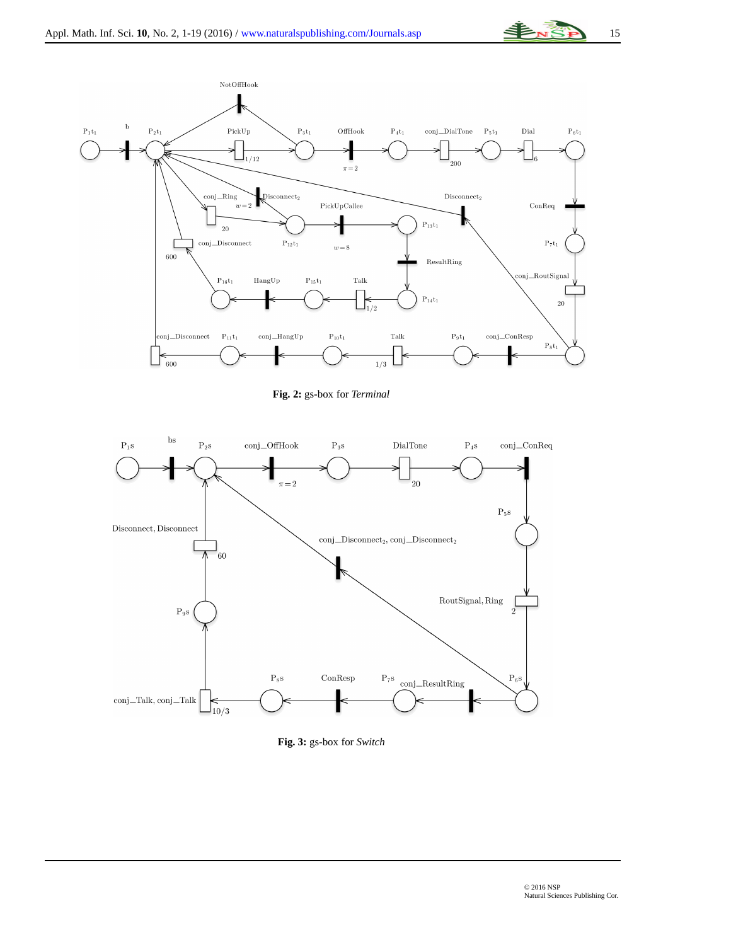



**Fig. 2:** gs-box for *Terminal*

<span id="page-14-0"></span>

**Fig. 3:** gs-box for *Switch*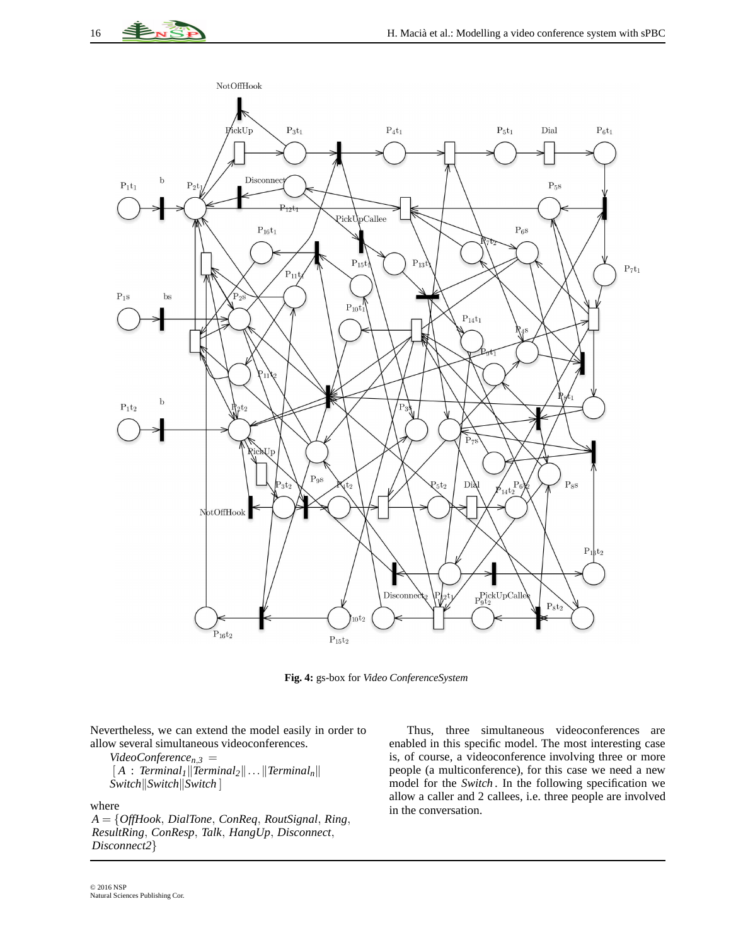

**Fig. 4:** gs-box for *Video ConferenceSystem*

<span id="page-15-0"></span>Nevertheless, we can extend the model easily in order to allow several simultaneous videoconferences.

 $Video Conference_{n,3}$  =  $\left[ A : Terminal_I \|\textit{Terminal}_2\| \dots \|\textit{Terminal}_n\right]$ *Switch*<sup>*\Switch*<sup>*\*</sup>*NSwitch*<sup> $\vert$ </sup></sup>

where

*A* = {*OffHook*, *DialTone*, *ConReq*, *RoutSignal*, *Ring*, *ResultRing*, *ConResp*, *Talk*, *HangUp*, *Disconnect*, *Disconnect2*}

Thus, three simultaneous videoconferences are enabled in this specific model. The most interesting case is, of course, a videoconference involving three or more people (a multiconference), for this case we need a new model for the *Switch* . In the following specification we allow a caller and 2 callees, i.e. three people are involved in the conversation.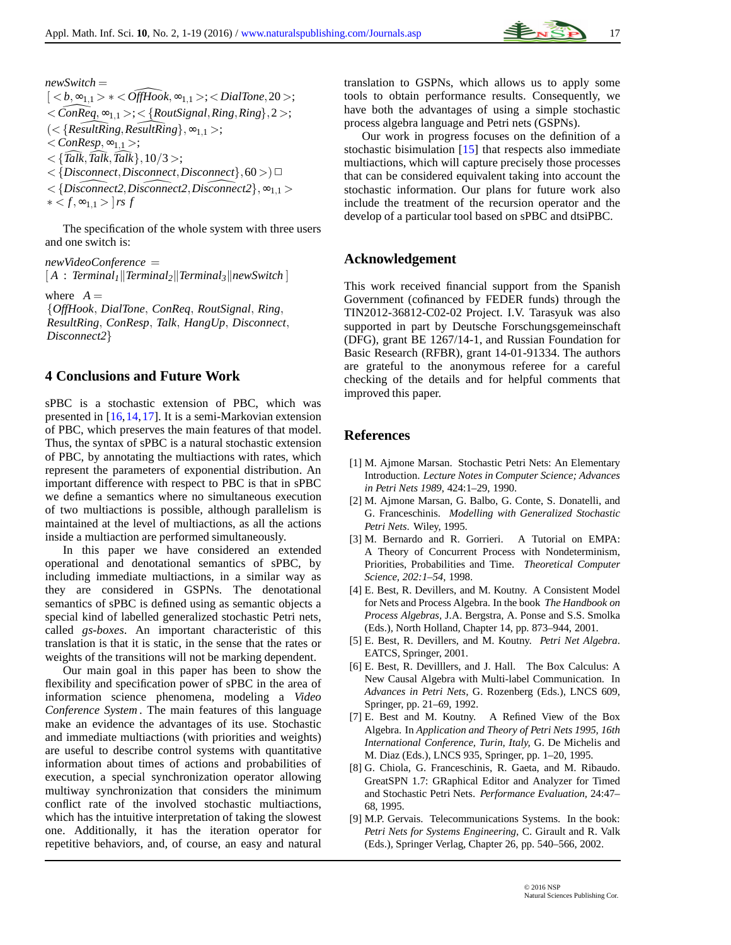

*newSwitch* =  $\vert < b, \infty_{1,1} > * < \widehat{OffHook}, \infty_{1,1} > ; <\text{DialTone}, 20 >;$  $\langle$  *ConReq*,  $\infty$ <sub>1,1</sub> >;  $\langle$  *{RoutSignal, Ring, Ring*}, 2 >;  $\{ <$ *{ResultRing, ResultRing},* ∞<sub>1,1</sub> >;  $\langle$  *ConResp*,  $\infty_{1,1}$  >;  $\langle \{Tal\overline{k}, Tal\overline{k}, Tal\overline{k}\}, 10/3 \rangle;$  $\langle$  {*Disconnect*,*Disconnect*,*Disconnect*},60 >) $\Box$  $\langle$  {*Disconnect2*, *Disconnect2*, *Disconnect2*},  $\infty_{1,1}$  >  $* < f, ∞_{1,1} > |rs f|$ 

The specification of the whole system with three users and one switch is:

*newVideoConference* =

 $[A : Terminal<sub>1</sub>||Terminal<sub>2</sub>||Terminal<sub>3</sub>||newSwitch]$ 

where  $A =$ 

{*OffHook*, *DialTone*, *ConReq*, *RoutSignal*, *Ring*, *ResultRing*, *ConResp*, *Talk*, *HangUp*, *Disconnect*, *Disconnect2*}

## **4 Conclusions and Future Work**

sPBC is a stochastic extension of PBC, which was presented in [\[16,](#page-17-9)[14,](#page-17-7)[17\]](#page-17-10). It is a semi-Markovian extension of PBC, which preserves the main features of that model. Thus, the syntax of sPBC is a natural stochastic extension of PBC, by annotating the multiactions with rates, which represent the parameters of exponential distribution. An important difference with respect to PBC is that in sPBC we define a semantics where no simultaneous execution of two multiactions is possible, although parallelism is maintained at the level of multiactions, as all the actions inside a multiaction are performed simultaneously.

In this paper we have considered an extended operational and denotational semantics of sPBC, by including immediate multiactions, in a similar way as they are considered in GSPNs. The denotational semantics of sPBC is defined using as semantic objects a special kind of labelled generalized stochastic Petri nets, called *gs-boxes*. An important characteristic of this translation is that it is static, in the sense that the rates or weights of the transitions will not be marking dependent.

Our main goal in this paper has been to show the flexibility and specification power of sPBC in the area of information science phenomena, modeling a *Video Conference System* . The main features of this language make an evidence the advantages of its use. Stochastic and immediate multiactions (with priorities and weights) are useful to describe control systems with quantitative information about times of actions and probabilities of execution, a special synchronization operator allowing multiway synchronization that considers the minimum conflict rate of the involved stochastic multiactions, which has the intuitive interpretation of taking the slowest one. Additionally, it has the iteration operator for repetitive behaviors, and, of course, an easy and natural

translation to GSPNs, which allows us to apply some tools to obtain performance results. Consequently, we have both the advantages of using a simple stochastic process algebra language and Petri nets (GSPNs).

Our work in progress focuses on the definition of a stochastic bisimulation [\[15\]](#page-17-8) that respects also immediate multiactions, which will capture precisely those processes that can be considered equivalent taking into account the stochastic information. Our plans for future work also include the treatment of the recursion operator and the develop of a particular tool based on sPBC and dtsiPBC.

## **Acknowledgement**

This work received financial support from the Spanish Government (cofinanced by FEDER funds) through the TIN2012-36812-C02-02 Project. I.V. Tarasyuk was also supported in part by Deutsche Forschungsgemeinschaft (DFG), grant BE 1267/14-1, and Russian Foundation for Basic Research (RFBR), grant 14-01-91334. The authors are grateful to the anonymous referee for a careful checking of the details and for helpful comments that improved this paper.

## **References**

- <span id="page-16-5"></span>[1] M. Ajmone Marsan. Stochastic Petri Nets: An Elementary Introduction. *Lecture Notes in Computer Science; Advances in Petri Nets 1989*, 424:1–29, 1990.
- <span id="page-16-6"></span>[2] M. Ajmone Marsan, G. Balbo, G. Conte, S. Donatelli, and G. Franceschinis. *Modelling with Generalized Stochastic Petri Nets*. Wiley, 1995.
- <span id="page-16-0"></span>[3] M. Bernardo and R. Gorrieri. A Tutorial on EMPA: A Theory of Concurrent Process with Nondeterminism, Priorities, Probabilities and Time. *Theoretical Computer Science, 202:1–54*, 1998.
- <span id="page-16-1"></span>[4] E. Best, R. Devillers, and M. Koutny. A Consistent Model for Nets and Process Algebra. In the book *The Handbook on Process Algebras,* J.A. Bergstra, A. Ponse and S.S. Smolka (Eds.)*,* North Holland*,* Chapter 14, pp. 873–944, 2001.
- <span id="page-16-2"></span>[5] E. Best, R. Devillers, and M. Koutny. *Petri Net Algebra*. EATCS, Springer, 2001.
- <span id="page-16-3"></span>[6] E. Best, R. Devilllers, and J. Hall. The Box Calculus: A New Causal Algebra with Multi-label Communication. In *Advances in Petri Nets,* G. Rozenberg (Eds.), LNCS 609, Springer, pp. 21–69, 1992.
- <span id="page-16-4"></span>[7] E. Best and M. Koutny. A Refined View of the Box Algebra. In *Application and Theory of Petri Nets 1995, 16th International Conference, Turin, Italy,* G. De Michelis and M. Diaz (Eds.), LNCS 935, Springer, pp. 1–20, 1995.
- <span id="page-16-8"></span>[8] G. Chiola, G. Franceschinis, R. Gaeta, and M. Ribaudo. GreatSPN 1.7: GRaphical Editor and Analyzer for Timed and Stochastic Petri Nets. *Performance Evaluation,* 24:47– 68, 1995.
- <span id="page-16-7"></span>[9] M.P. Gervais. Telecommunications Systems. In the book: *Petri Nets for Systems Engineering,* C. Girault and R. Valk (Eds.)*,* Springer Verlag*,* Chapter 26, pp. 540–566, 2002.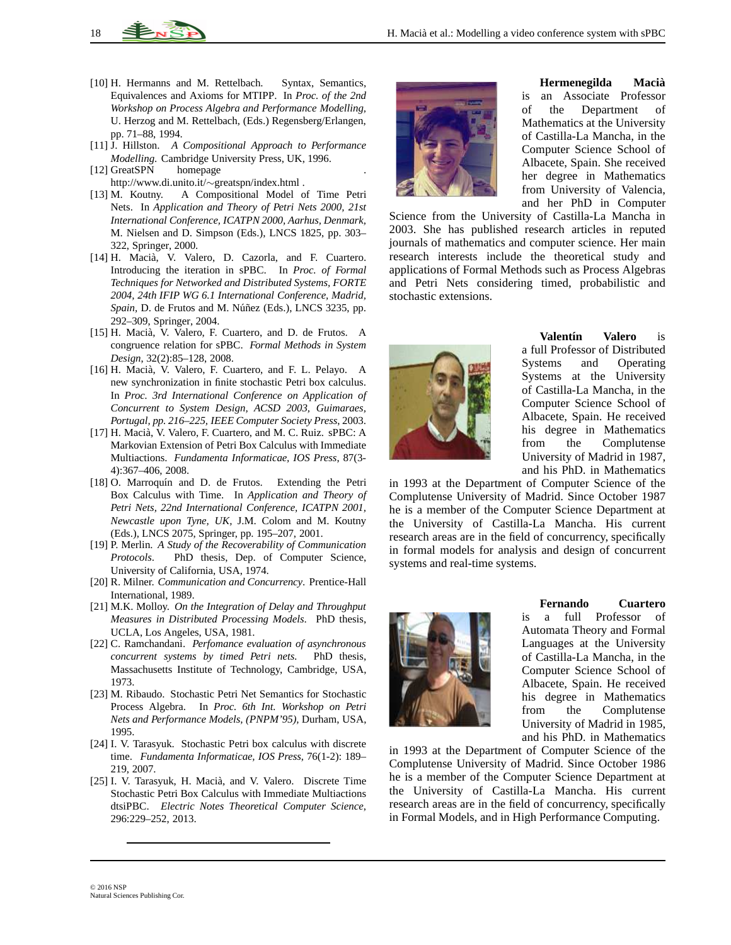- <span id="page-17-0"></span>[10] H. Hermanns and M. Rettelbach. Syntax, Semantics, Equivalences and Axioms for MTIPP. In *Proc. of the 2nd Workshop on Process Algebra and Performance Modelling,* U. Herzog and M. Rettelbach, (Eds.) Regensberg/Erlangen, pp. 71–88, 1994.
- <span id="page-17-1"></span>[11] J. Hillston. *A Compositional Approach to Performance Modelling*. Cambridge University Press, UK, 1996.
- <span id="page-17-15"></span>[12] GreatSPN homepage http://www.di.unito.it/∼greatspn/index.html .
- <span id="page-17-3"></span>[13] M. Koutny. A Compositional Model of Time Petri Nets. In *Application and Theory of Petri Nets 2000, 21st International Conference, ICATPN 2000, Aarhus, Denmark,* M. Nielsen and D. Simpson (Eds.), LNCS 1825, pp. 303– 322, Springer, 2000.
- <span id="page-17-7"></span>[14] H. Macià, V. Valero, D. Cazorla, and F. Cuartero. Introducing the iteration in sPBC. In *Proc. of Formal Techniques for Networked and Distributed Systems, FORTE 2004, 24th IFIP WG 6.1 International Conference, Madrid, Spain, D. de Frutos and M. Núñez (Eds.), LNCS 3235, pp.* 292–309, Springer, 2004.
- <span id="page-17-8"></span>[15] H. Macià, V. Valero, F. Cuartero, and D. de Frutos. A congruence relation for sPBC. *Formal Methods in System Design*, 32(2):85–128, 2008.
- <span id="page-17-9"></span>[16] H. Macià, V. Valero, F. Cuartero, and F. L. Pelayo. A new synchronization in finite stochastic Petri box calculus. In *Proc. 3rd International Conference on Application of Concurrent to System Design, ACSD 2003, Guimaraes, Portugal, pp. 216–225, IEEE Computer Society Press*, 2003.
- <span id="page-17-10"></span>[17] H. Macià, V. Valero, F. Cuartero, and M. C. Ruiz. sPBC: A Markovian Extension of Petri Box Calculus with Immediate Multiactions. *Fundamenta Informaticae, IOS Press*, 87(3- 4):367–406, 2008.
- <span id="page-17-5"></span>[18] O. Marroquín and D. de Frutos. Extending the Petri Box Calculus with Time. In *Application and Theory of Petri Nets, 22nd International Conference, ICATPN 2001, Newcastle upon Tyne, UK,* J.M. Colom and M. Koutny (Eds.), LNCS 2075, Springer, pp. 195–207, 2001.
- <span id="page-17-4"></span>[19] P. Merlin. *A Study of the Recoverability of Communication Protocols*. PhD thesis, Dep. of Computer Science, University of California, USA, 1974.
- <span id="page-17-2"></span>[20] R. Milner. *Communication and Concurrency*. Prentice-Hall International, 1989.
- <span id="page-17-12"></span>[21] M.K. Molloy. *On the Integration of Delay and Throughput Measures in Distributed Processing Models*. PhD thesis, UCLA, Los Angeles, USA, 1981.
- <span id="page-17-6"></span>[22] C. Ramchandani. *Perfomance evaluation of asynchronous concurrent systems by timed Petri nets.* PhD thesis, Massachusetts Institute of Technology, Cambridge, USA, 1973.
- <span id="page-17-14"></span>[23] M. Ribaudo. Stochastic Petri Net Semantics for Stochastic Process Algebra. In *Proc. 6th Int. Workshop on Petri Nets and Performance Models, (PNPM'95),* Durham, USA, 1995.
- <span id="page-17-11"></span>[24] I. V. Tarasyuk. Stochastic Petri box calculus with discrete time. *Fundamenta Informaticae, IOS Press*, 76(1-2): 189– 219, 2007.
- <span id="page-17-13"></span>[25] I. V. Tarasyuk, H. Macià, and V. Valero. Discrete Time Stochastic Petri Box Calculus with Immediate Multiactions dtsiPBC. *Electric Notes Theoretical Computer Science*, 296:229–252, 2013.



**Hermenegilda Macia`** is an Associate Professor of the Department of Mathematics at the University of Castilla-La Mancha, in the Computer Science School of Albacete, Spain. She received her degree in Mathematics from University of Valencia, and her PhD in Computer

Science from the University of Castilla-La Mancha in 2003. She has published research articles in reputed journals of mathematics and computer science. Her main research interests include the theoretical study and applications of Formal Methods such as Process Algebras and Petri Nets considering timed, probabilistic and stochastic extensions.



**Valentín Valero** is a full Professor of Distributed Systems and Operating Systems at the University of Castilla-La Mancha, in the Computer Science School of Albacete, Spain. He received his degree in Mathematics from the Complutense University of Madrid in 1987, and his PhD. in Mathematics

in 1993 at the Department of Computer Science of the Complutense University of Madrid. Since October 1987 he is a member of the Computer Science Department at the University of Castilla-La Mancha. His current research areas are in the field of concurrency, specifically in formal models for analysis and design of concurrent systems and real-time systems.



**Fernando Cuartero**

is a full Professor of Automata Theory and Formal Languages at the University of Castilla-La Mancha, in the Computer Science School of Albacete, Spain. He received his degree in Mathematics from the Complutense University of Madrid in 1985, and his PhD. in Mathematics

in 1993 at the Department of Computer Science of the Complutense University of Madrid. Since October 1986 he is a member of the Computer Science Department at the University of Castilla-La Mancha. His current research areas are in the field of concurrency, specifically in Formal Models, and in High Performance Computing.